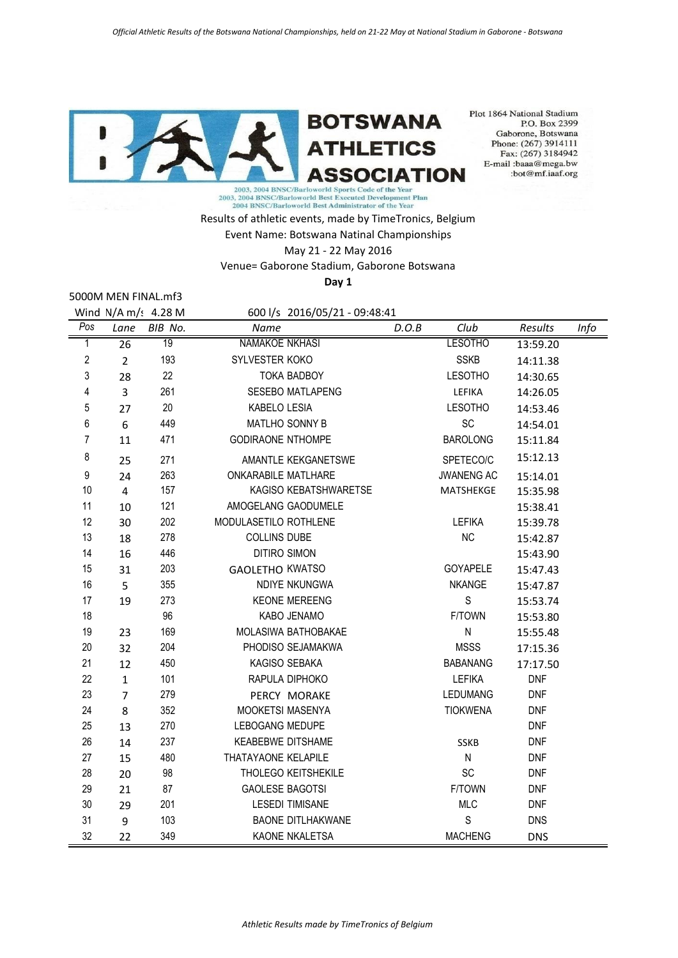

Plot 1864 National Stadium P.O. Box 2399 Gaborone, Botswana Phone: (267) 3914111 Fax: (267) 3184942 E-mail:baaa@mega.bw :bot@mf.iaaf.org

2003, 2004 BNSC/Barloworld Best Executed Development Plan<br>2004 BNSC/Barloworld Best Administrator of the Year

Results of athletic events, made by TimeTronics, Belgium Event Name: Botswana Natinal Championships May 21 - 22 May 2016 Venue= Gaborone Stadium, Gaborone Botswana **Day 1**

5000M MEN FINAL.mf3

Wind N/A m/: 4.28 M 600 l/s 2016/05/21 - 09:48:41 *Pos Lane BIB No. Name D.O.B Club Results Info* 1 26 19 NAMAKOE NKHASI LESOTHO 13:59.20 2 2 193 SYLVESTER KOKO SSKB 14:11.38 3 28 22 TOKA BADBOY LESOTHO 14:30.65 4 3 261 SESEBO MATLAPENG LEFIKA 14:26.05 5 27 20 KABELO LESIA LESOTHO 14:53.46 6 6 449 MATLHO SONNY B SC 14:54.01 7 11 471 GODIRAONE NTHOMPE BAROLONG 15:11.84 8 25 271 AMANTLE KEKGANETSWE SPETECO/C 15:12.13 9 24 263 ONKARABILE MATLHARE JWANENG AC 15:14.01 10 4 157 KAGISO KEBATSHWARETSE MATSHEKGE 15:35.98 11 10 121 AMOGELANG GAODUMELE 15:38.41 12 30 202 MODULASETILO ROTHLENE LEFIKA 15:39.78 13 18 278 COLLINS DUBE NC 15:42.87 14 16 446 DITIRO SIMON 15:43.90 15 31 203 GAOLETHO KWATSO 60YAPELE 15:47.43 16 5 355 NDIYE NKUNGWA NKANGE 15:47.87 17 19 273 KEONE MEREENG S 15:53.74 18 96 KABO JENAMO F/TOWN 15:53.80 19 23 169 MOLASIWA BATHOBAKAE N 15:55.48 20 32 204 PHODISO SEJAMAKWA MSSS 17:15.36 21 12 450 KAGISO SEBAKA BABANANG 17:17.50 22 1 101 RAPULA DIPHOKO LEFIKA DNF 23 7 279 PERCY MORAKE LEDUMANG DNF 24 8 352 MOOKETSI MASENYA TIOKWENA DNF 25 13 270 LEBOGANG MEDUPE **DISCUSSES ASSESSED** 26 14 237 KEABEBWE DITSHAME SSKB DNF 27 15 480 THATAYAONE KELAPILE N N DNF 28 20 98 THOLEGO KEITSHEKILE SC DNF 29 21 87 GAOLESE BAGOTSI CHEMIT FATOWN DNF 30 29 201 LESEDI TIMISANE MLC DNF

31 9 103 BAONE DITLHAKWANE S DNS 32 22 349 KAONE NKALETSA MACHENG DNS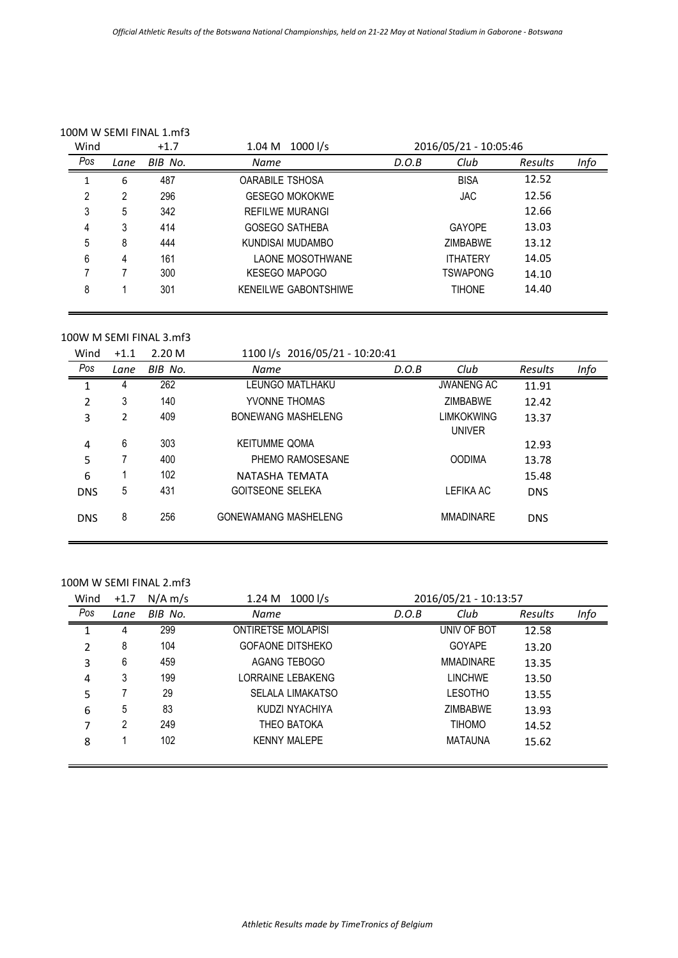# 100M W SEMI FINAL 1.mf3

| Wind | $+1.7$ |         | 1000 l/s<br>1.04 M          | 2016/05/21 - 10:05:46 |                 |                |      |
|------|--------|---------|-----------------------------|-----------------------|-----------------|----------------|------|
| Pos  | Lane   | BIB No. | Name                        | D.O.B                 | Club            | <b>Results</b> | Info |
|      | 6      | 487     | <b>OARABILE TSHOSA</b>      |                       | <b>BISA</b>     | 12.52          |      |
| 2    | 2      | 296     | <b>GESEGO MOKOKWE</b>       |                       | <b>JAC</b>      | 12.56          |      |
| 3    | 5      | 342     | REFILWE MURANGI             |                       |                 | 12.66          |      |
| 4    | 3      | 414     | <b>GOSEGO SATHEBA</b>       |                       | <b>GAYOPE</b>   | 13.03          |      |
| 5    | 8      | 444     | KUNDISAI MUDAMBO            |                       | <b>ZIMBABWE</b> | 13.12          |      |
| 6    | 4      | 161     | LAONE MOSOTHWANE            |                       | <b>ITHATFRY</b> | 14.05          |      |
|      |        | 300     | <b>KESEGO MAPOGO</b>        |                       | <b>TSWAPONG</b> | 14.10          |      |
| 8    |        | 301     | <b>KENEILWE GABONTSHIWE</b> |                       | <b>TIHONE</b>   | 14.40          |      |

### 100W M SEMI FINAL 3.mf3

| Wind           | $+1.1$ | 2.20 <sub>M</sub> | 1100 l/s 2016/05/21 - 10:20:41 |       |                                    |            |      |
|----------------|--------|-------------------|--------------------------------|-------|------------------------------------|------------|------|
| Pos            | Lane   | BIB No.           | <b>Name</b>                    | D.O.B | Club                               | Results    | Info |
| 1              | 4      | 262               | LEUNGO MATLHAKU                |       | <b>JWANENG AC</b>                  | 11.91      |      |
| 2              | 3      | 140               | YVONNE THOMAS                  |       | <b>ZIMBABWE</b>                    | 12.42      |      |
| 3              | 2      | 409               | <b>BONEWANG MASHELENG</b>      |       | <b>LIMKOKWING</b><br><b>UNIVER</b> | 13.37      |      |
| $\overline{4}$ | 6      | 303               | <b>KEITUMME QOMA</b>           |       |                                    | 12.93      |      |
| 5              |        | 400               | PHEMO RAMOSESANE               |       | <b>OODIMA</b>                      | 13.78      |      |
| 6              |        | 102               | NATASHA TEMATA                 |       |                                    | 15.48      |      |
| <b>DNS</b>     | 5      | 431               | <b>GOITSEONE SELEKA</b>        |       | LEFIKA AC                          | <b>DNS</b> |      |
| <b>DNS</b>     | 8      | 256               | <b>GONEWAMANG MASHELENG</b>    |       | <b>MMADINARE</b>                   | <b>DNS</b> |      |

## 100M W SEMI FINAL 2.mf3

| Wind | $+1.7$ | $N/A$ m/s | 1000 $1/s$<br>1.24 M      | 2016/05/21 - 10:13:57 |                  |         |      |
|------|--------|-----------|---------------------------|-----------------------|------------------|---------|------|
| Pos  | Lane   | BIB No.   | Name                      | D.O.B                 | Club             | Results | Info |
|      | 4      | 299       | <b>ONTIRETSE MOLAPISI</b> |                       | UNIV OF BOT      | 12.58   |      |
| 2    | 8      | 104       | <b>GOFAONE DITSHEKO</b>   |                       | <b>GOYAPE</b>    | 13.20   |      |
| 3    | 6      | 459       | AGANG TEBOGO              |                       | <b>MMADINARE</b> | 13.35   |      |
| 4    | 3      | 199       | LORRAINE LEBAKENG         |                       | <b>LINCHWE</b>   | 13.50   |      |
| 5    |        | 29        | <b>SELALA LIMAKATSO</b>   |                       | <b>LESOTHO</b>   | 13.55   |      |
| 6    | 5      | 83        | KUDZI NYACHIYA            |                       | <b>ZIMBABWE</b>  | 13.93   |      |
| 7    | 2      | 249       | THEO BATOKA               |                       | <b>TIHOMO</b>    | 14.52   |      |
| 8    |        | 102       | <b>KENNY MALEPE</b>       |                       | <b>MATAUNA</b>   | 15.62   |      |
|      |        |           |                           |                       |                  |         |      |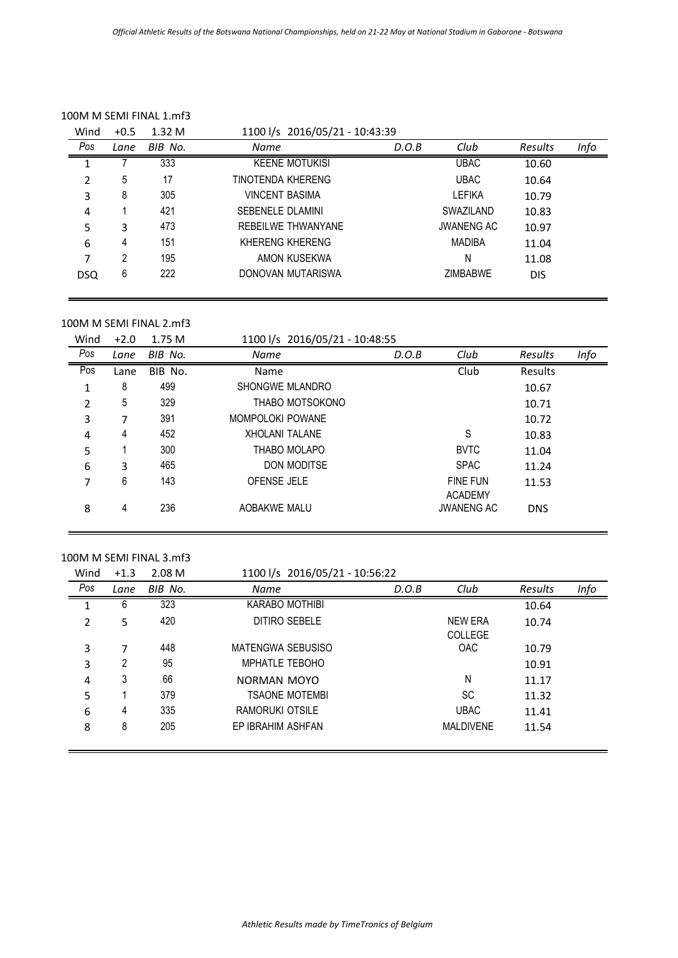| Wind       | $+0.5$ | 1.32M   | 1100 l/s 2016/05/21 - 10:43:39 |       |                   |                |      |
|------------|--------|---------|--------------------------------|-------|-------------------|----------------|------|
| Pos        | Lane   | BIB No. | Name                           | D.O.B | Club              | <b>Results</b> | Info |
|            |        | 333     | <b>KEENE MOTUKISI</b>          |       | <b>UBAC</b>       | 10.60          |      |
| 2          | 5      | 17      | TINOTENDA KHERENG              |       | <b>UBAC</b>       | 10.64          |      |
| 3          | 8      | 305     | <b>VINCENT BASIMA</b>          |       | <b>LEFIKA</b>     | 10.79          |      |
| 4          |        | 421     | SEBENELE DI AMINI              |       | SWAZII AND        | 10.83          |      |
| 5          | 3      | 473     | REBEILWE THWANYANE             |       | <b>JWANENG AC</b> | 10.97          |      |
| 6          | 4      | 151     | KHFRFNG KHFRFNG                |       | <b>MADIBA</b>     | 11.04          |      |
| 7          | 2      | 195     | AMON KUSEKWA                   |       | N                 | 11.08          |      |
| <b>DSQ</b> | 6      | 222     | DONOVAN MUTARISWA              |       | <b>ZIMBARWE</b>   | <b>DIS</b>     |      |

#### 100M M SEMI FINAL 1.mf3

100M M SEMI FINAL 2.mf3

Wind +2.0 1.75 M 1100 l/s 2016/05/21 - 10:48:55

| Pos | Lane | BIB No. | Name                  | D.O.B | Club                                | Results    | Info |
|-----|------|---------|-----------------------|-------|-------------------------------------|------------|------|
| Pos | Lane | BIB No. | Name                  |       | Club                                | Results    |      |
| 1   | 8    | 499     | SHONGWE MLANDRO       |       |                                     | 10.67      |      |
| 2   | 5    | 329     | THABO MOTSOKONO       |       |                                     | 10.71      |      |
| 3   | 7    | 391     | MOMPOLOKI POWANE      |       |                                     | 10.72      |      |
| 4   | 4    | 452     | <b>XHOLANI TALANE</b> |       | S                                   | 10.83      |      |
| 5   |      | 300     | THABO MOLAPO          |       | <b>BVTC</b>                         | 11.04      |      |
| 6   | 3    | 465     | <b>DON MODITSE</b>    |       | <b>SPAC</b>                         | 11.24      |      |
| 7   | 6    | 143     | <b>OFENSE JELE</b>    |       | <b>FINE FUN</b>                     | 11.53      |      |
| 8   | 4    | 236     | AOBAKWE MALU          |       | <b>ACADEMY</b><br><b>JWANENG AC</b> | <b>DNS</b> |      |

#### 100M M SEMI FINAL 3.mf3

Wind +1.3 2.08 M 1100 l/s 2016/05/21 - 10:56:22

| Pos | Lane | BIB No. | Name                   | D.O.B | Club             | <b>Results</b> | Info |
|-----|------|---------|------------------------|-------|------------------|----------------|------|
|     | 6    | 323     | <b>KARABO MOTHIBI</b>  |       |                  | 10.64          |      |
| 2   | 5    | 420     | DITIRO SEBELE          |       | <b>NEW ERA</b>   | 10.74          |      |
|     |      |         |                        |       | <b>COLLEGE</b>   |                |      |
| 3   | 7    | 448     | MATENGWA SEBUSISO      |       | <b>OAC</b>       | 10.79          |      |
| 3   | 2    | 95      | <b>MPHATLE TEBOHO</b>  |       |                  | 10.91          |      |
| 4   | 3    | 66      | NORMAN MOYO            |       | N                | 11.17          |      |
| 5   |      | 379     | <b>TSAONE MOTEMBI</b>  |       | <b>SC</b>        | 11.32          |      |
| 6   | 4    | 335     | <b>RAMORUKI OTSILE</b> |       | <b>UBAC</b>      | 11.41          |      |
| 8   | 8    | 205     | EP IBRAHIM ASHFAN      |       | <b>MALDIVENE</b> | 11.54          |      |
|     |      |         |                        |       |                  |                |      |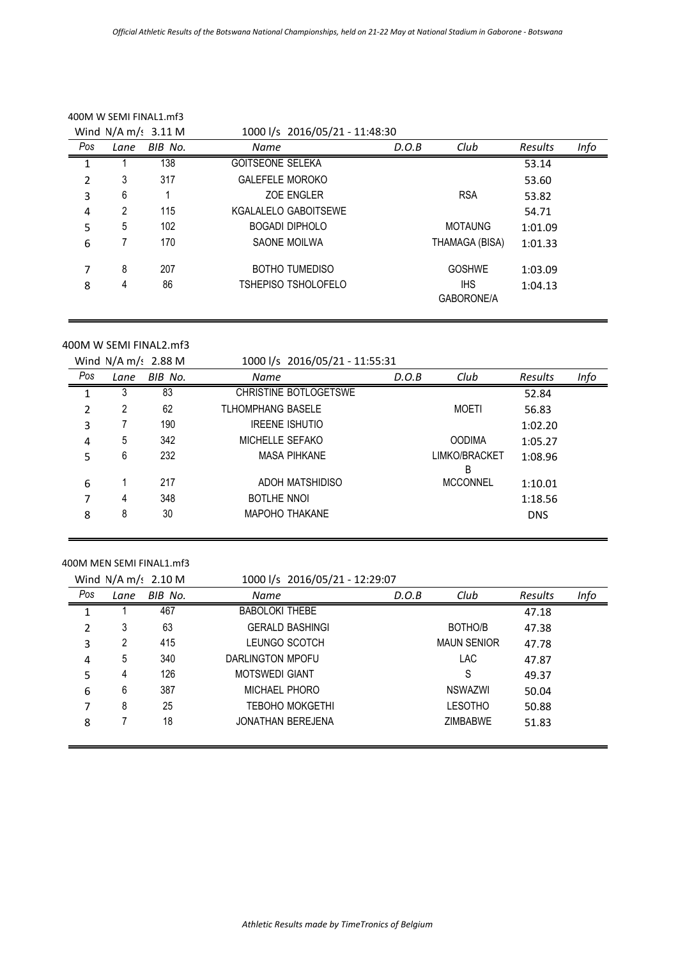|     |      | 400M W SEMI FINAL1.mf3 |                                |       |                          |         |      |
|-----|------|------------------------|--------------------------------|-------|--------------------------|---------|------|
|     |      | Wind $N/A$ m/s 3.11 M  | 1000 l/s 2016/05/21 - 11:48:30 |       |                          |         |      |
| Pos | Lane | BIB No.                | Name                           | D.O.B | Club                     | Results | Info |
|     |      | 138                    | <b>GOITSEONE SELEKA</b>        |       |                          | 53.14   |      |
| 2   | 3    | 317                    | <b>GALEFELE MOROKO</b>         |       |                          | 53.60   |      |
| 3   | 6    |                        | <b>ZOE ENGLER</b>              |       | <b>RSA</b>               | 53.82   |      |
| 4   | 2    | 115                    | KGALALELO GABOITSEWE           |       |                          | 54.71   |      |
| 5   | 5    | 102                    | <b>BOGADI DIPHOLO</b>          |       | <b>MOTAUNG</b>           | 1:01.09 |      |
| 6   |      | 170                    | SAONE MOILWA                   |       | THAMAGA (BISA)           | 1:01.33 |      |
| 7   | 8    | 207                    | <b>BOTHO TUMEDISO</b>          |       | <b>GOSHWE</b>            | 1:03.09 |      |
| 8   | 4    | 86                     | <b>TSHEPISO TSHOLOFELO</b>     |       | <b>IHS</b><br>GABORONE/A | 1:04.13 |      |

#### 400M W SEMI FINAL2.mf3

| 1000 l/s 2016/05/21 - 11:55:31<br>Wind $N/A$ m/s 2.88 M |     |      |         |                          |                        |       |                 |            |      |
|---------------------------------------------------------|-----|------|---------|--------------------------|------------------------|-------|-----------------|------------|------|
|                                                         | Pos | Lane | BIB No. | Name                     |                        | D.O.B | Club            | Results    | Info |
|                                                         |     | 3    | 83      |                          | CHRISTINE BOTLOGETSWE  |       |                 | 52.84      |      |
|                                                         | 2   | 2    | 62      | <b>TLHOMPHANG BASELE</b> |                        |       | <b>MOETI</b>    | 56.83      |      |
|                                                         | 3   |      | 190     | <b>IREENE ISHUTIO</b>    |                        |       |                 | 1:02.20    |      |
|                                                         | 4   | 5    | 342     | <b>MICHELLE SEFAKO</b>   |                        |       | <b>OODIMA</b>   | 1:05.27    |      |
|                                                         | 5   | 6    | 232     |                          | <b>MASA PIHKANE</b>    |       | LIMKO/BRACKET   | 1:08.96    |      |
|                                                         |     |      |         |                          |                        |       | B               |            |      |
|                                                         | 6   |      | 217     |                          | <b>ADOH MATSHIDISO</b> |       | <b>MCCONNEL</b> | 1:10.01    |      |
|                                                         | 7   | 4    | 348     | <b>BOTLHE NNOI</b>       |                        |       |                 | 1:18.56    |      |
|                                                         | 8   | 8    | 30      | <b>MAPOHO THAKANE</b>    |                        |       |                 | <b>DNS</b> |      |
|                                                         |     |      |         |                          |                        |       |                 |            |      |

#### 400M MEN SEMI FINAL1.mf3

|     |      | Wind $N/A$ m/s 2.10 M | 1000 l/s 2016/05/21 - 12:29:07 |       |                    |         |      |
|-----|------|-----------------------|--------------------------------|-------|--------------------|---------|------|
| Pos | Lane | BIB No.               | Name                           | D.O.B | Club               | Results | Info |
|     |      | 467                   | <b>BABOLOKI THEBE</b>          |       |                    | 47.18   |      |
| 2   | 3    | 63                    | <b>GERALD BASHINGI</b>         |       | BOTHO/B            | 47.38   |      |
| 3   | 2    | 415                   | LEUNGO SCOTCH                  |       | <b>MAUN SENIOR</b> | 47.78   |      |
| 4   | 5    | 340                   | DARLINGTON MPOFU               |       | <b>LAC</b>         | 47.87   |      |
| 5   | 4    | 126                   | <b>MOTSWEDI GIANT</b>          |       | S                  | 49.37   |      |
| 6   | 6    | 387                   | MICHAFI PHORO                  |       | NSWAZWI            | 50.04   |      |
|     | 8    | 25                    | <b>TEBOHO MOKGETHI</b>         |       | <b>LESOTHO</b>     | 50.88   |      |
| 8   |      | 18                    | <b>JONATHAN BEREJENA</b>       |       | <b>ZIMBARWE</b>    | 51.83   |      |
|     |      |                       |                                |       |                    |         |      |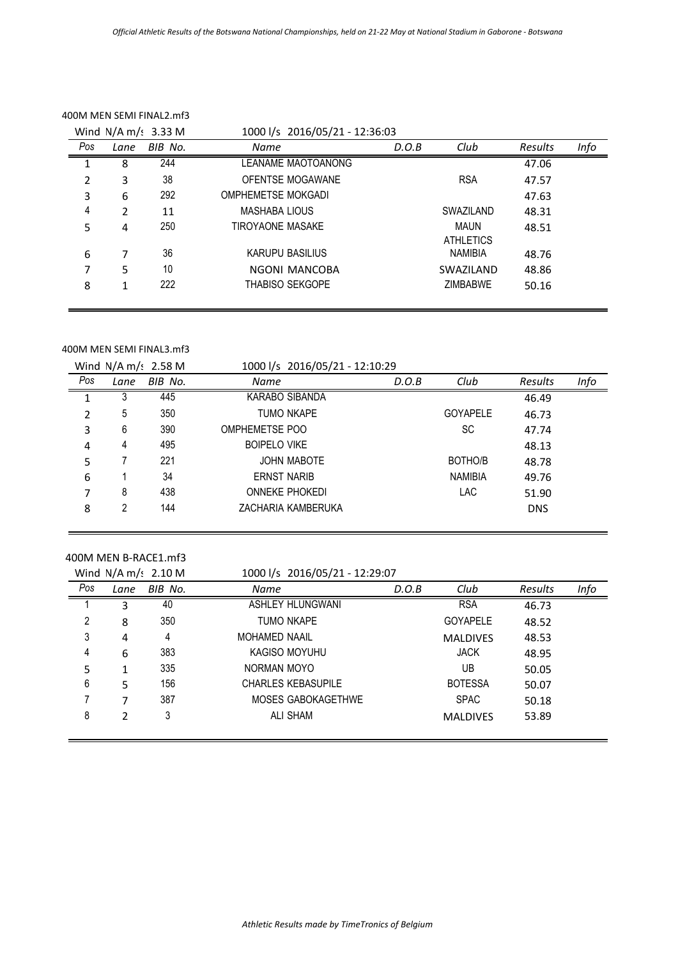|     |                | Wind $N/A$ m/s 3.33 M | 1000 l/s 2016/05/21 - 12:36:03 |       |                                 |         |      |
|-----|----------------|-----------------------|--------------------------------|-------|---------------------------------|---------|------|
| Pos | Lane           | BIB No.               | <b>Name</b>                    | D.O.B | Club                            | Results | Info |
|     | 8              | 244                   | <b>LEANAME MAOTOANONG</b>      |       |                                 | 47.06   |      |
| 2   | 3              | 38                    | OFENTSE MOGAWANE               |       | <b>RSA</b>                      | 47.57   |      |
| 3   | 6              | 292                   | <b>OMPHEMETSE MOKGADI</b>      |       |                                 | 47.63   |      |
| 4   | $\overline{2}$ | 11                    | MASHABA LIOUS                  |       | SWAZILAND                       | 48.31   |      |
| 5   | 4              | 250                   | TIROYAONE MASAKE               |       | <b>MAUN</b><br><b>ATHLETICS</b> | 48.51   |      |
| 6   | 7              | 36                    | KARUPU BASILIUS                |       | NAMIBIA                         | 48.76   |      |
| 7   | 5              | 10                    | NGONI MANCOBA                  |       | SWAZILAND                       | 48.86   |      |
| 8   | 1              | 222                   | <b>THABISO SEKGOPE</b>         |       | <b>ZIMBARWE</b>                 | 50.16   |      |

#### 400M MEN SEMI FINAL2.mf3

#### 400M MEN SEMI FINAL3.mf3

|     |      | Wind $N/A$ m/s 2.58 M | 1000 l/s 2016/05/21 - 12:10:29 |       |                 |                |      |
|-----|------|-----------------------|--------------------------------|-------|-----------------|----------------|------|
| Pos | Lane | BIB No.               | Name                           | D.O.B | Club            | <b>Results</b> | Info |
|     |      | 445                   | KARABO SIBANDA                 |       |                 | 46.49          |      |
| 2   | 5    | 350                   | <b>TUMO NKAPE</b>              |       | <b>GOYAPELE</b> | 46.73          |      |
| 3   | 6    | 390                   | OMPHEMETSE POO                 |       | <b>SC</b>       | 47.74          |      |
| 4   | 4    | 495                   | <b>BOIPELO VIKE</b>            |       |                 | 48.13          |      |
| 5   |      | 221                   | <b>JOHN MABOTE</b>             |       | BOTHO/B         | 48.78          |      |
| 6   |      | 34                    | <b>ERNST NARIB</b>             |       | <b>NAMIBIA</b>  | 49.76          |      |
|     | 8    | 438                   | <b>ONNEKE PHOKEDI</b>          |       | <b>LAC</b>      | 51.90          |      |
| 8   | 2    | 144                   | ZACHARIA KAMBERUKA             |       |                 | <b>DNS</b>     |      |

### 400M MEN B-RACE1.mf3

Wind N/A m/s 2.10 M 1000 l/s 2016/05/21 - 12:29:07

| Pos | Lane | BIB No. | <b>Name</b>               | D.O.B | Club            | <b>Results</b> | Info |
|-----|------|---------|---------------------------|-------|-----------------|----------------|------|
|     | 3    | 40      | ASHLEY HLUNGWANI          |       | <b>RSA</b>      | 46.73          |      |
| 2   | 8    | 350     | <b>TUMO NKAPE</b>         |       | <b>GOYAPELE</b> | 48.52          |      |
| 3   | 4    | 4       | <b>MOHAMED NAAIL</b>      |       | <b>MALDIVES</b> | 48.53          |      |
| 4   | 6    | 383     | KAGISO MOYUHU             |       | <b>JACK</b>     | 48.95          |      |
|     |      | 335     | NORMAN MOYO               |       | UB              | 50.05          |      |
| 6   | 5    | 156     | <b>CHARLES KEBASUPILE</b> |       | <b>BOTESSA</b>  | 50.07          |      |
|     | 7    | 387     | MOSES GABOKAGETHWE        |       | <b>SPAC</b>     | 50.18          |      |
| 8   | 2    | 3       | <b>ALI SHAM</b>           |       | <b>MALDIVES</b> | 53.89          |      |
|     |      |         |                           |       |                 |                |      |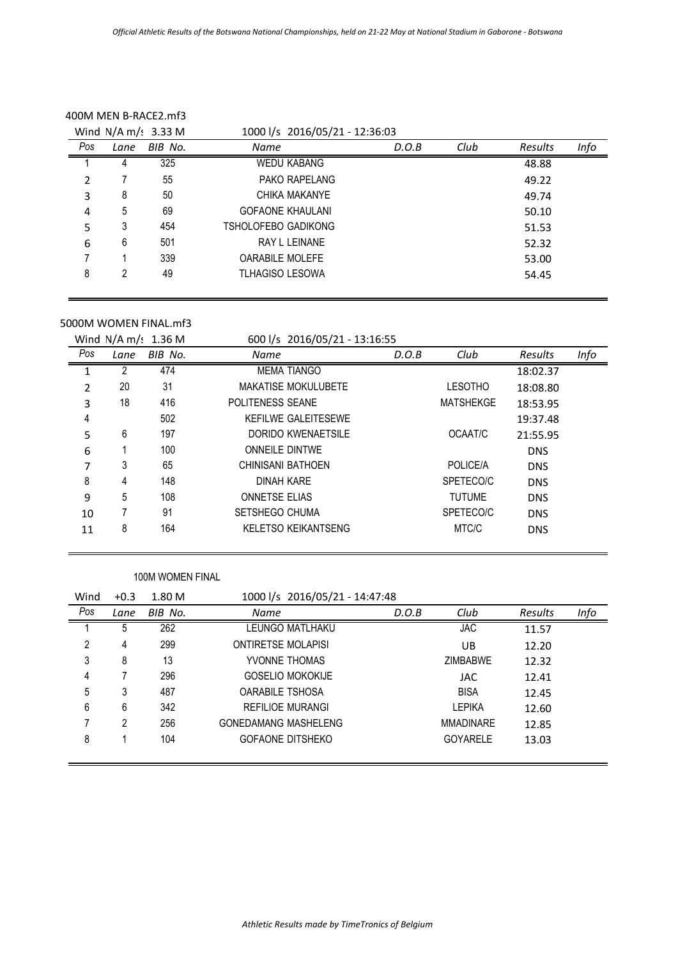|     |      | Wind $N/A$ m/s 3.33 M | 1000 l/s 2016/05/21 - 12:36:03 |       |      |                |      |  |
|-----|------|-----------------------|--------------------------------|-------|------|----------------|------|--|
| Pos | Lane | BIB No.               | <b>Name</b>                    | D.O.B | Club | <b>Results</b> | Info |  |
|     |      | 325                   | <b>WEDU KABANG</b>             |       |      | 48.88          |      |  |
| 2   |      | 55                    | PAKO RAPELANG                  |       |      | 49.22          |      |  |
| 3   | 8    | 50                    | CHIKA MAKANYE                  |       |      | 49.74          |      |  |
| 4   | 5    | 69                    | <b>GOFAONE KHAULANI</b>        |       |      | 50.10          |      |  |
| 5   | 3    | 454                   | TSHOLOFEBO GADIKONG            |       |      | 51.53          |      |  |
| 6   | 6    | 501                   | <b>RAY L LEINANE</b>           |       |      | 52.32          |      |  |
|     |      | 339                   | <b>OARABILE MOLEFE</b>         |       |      | 53.00          |      |  |
| 8   | 2    | 49                    | <b>TLHAGISO LESOWA</b>         |       |      | 54.45          |      |  |
|     |      |                       |                                |       |      |                |      |  |

#### 400M MEN B-RACE2.mf3

## 5000M WOMEN FINAL.mf3

Wind N/A m/s 1.36 M 600 l/s 2016/05/21 - 13:16:55

|     |      |         | 000 1, 5 E010, 00, E1      |       |                  |            |      |
|-----|------|---------|----------------------------|-------|------------------|------------|------|
| Pos | Lane | BIB No. | Name                       | D.O.B | Club             | Results    | Info |
|     |      | 474     | <b>MEMA TIANGO</b>         |       |                  | 18:02.37   |      |
| 2   | 20   | 31      | <b>MAKATISE MOKULUBETE</b> |       | <b>LESOTHO</b>   | 18:08.80   |      |
| 3   | 18   | 416     | POLITENESS SEANE           |       | <b>MATSHEKGE</b> | 18:53.95   |      |
| 4   |      | 502     | KEFILWE GALEITESEWE        |       |                  | 19:37.48   |      |
| 5   | 6    | 197     | DORIDO KWENAETSILE         |       | OCAAT/C          | 21:55.95   |      |
| 6   |      | 100     | <b>ONNEILE DINTWE</b>      |       |                  | <b>DNS</b> |      |
| 7   | 3    | 65      | CHINISANI BATHOEN          |       | POLICE/A         | <b>DNS</b> |      |
| 8   | 4    | 148     | <b>DINAH KARE</b>          |       | SPETECO/C        | <b>DNS</b> |      |
| 9   | 5    | 108     | <b>ONNETSE ELIAS</b>       |       | <b>TUTUME</b>    | <b>DNS</b> |      |
| 10  |      | 91      | SETSHEGO CHUMA             |       | SPETECO/C        | <b>DNS</b> |      |
| 11  | 8    | 164     | <b>KELETSO KEIKANTSENG</b> |       | MTC/C            | <b>DNS</b> |      |
|     |      |         |                            |       |                  |            |      |

#### 100M WOMEN FINAL

| Wind | $+0.3$ | 1.80 M  |                             | 1000 l/s 2016/05/21 - 14:47:48 |       |                  |         |      |
|------|--------|---------|-----------------------------|--------------------------------|-------|------------------|---------|------|
| Pos  | Lane   | BIB No. | <b>Name</b>                 |                                | D.O.B | Club             | Results | Info |
|      | 5      | 262     | LEUNGO MATLHAKU             |                                |       | <b>JAC</b>       | 11.57   |      |
| 2    | 4      | 299     | <b>ONTIRETSE MOLAPISI</b>   |                                |       | UB               | 12.20   |      |
| 3    | 8      | 13      | YVONNE THOMAS               |                                |       | <b>ZIMBABWE</b>  | 12.32   |      |
| 4    |        | 296     | <b>GOSELIO MOKOKIJE</b>     |                                |       | JAC              | 12.41   |      |
| 5    | 3      | 487     | <b>OARABILE TSHOSA</b>      |                                |       | <b>BISA</b>      | 12.45   |      |
| 6    | 6      | 342     | <b>REFILIOE MURANGI</b>     |                                |       | <b>LEPIKA</b>    | 12.60   |      |
|      | 2      | 256     | <b>GONEDAMANG MASHELENG</b> |                                |       | <b>MMADINARF</b> | 12.85   |      |
| 8    |        | 104     | <b>GOFAONE DITSHEKO</b>     |                                |       | <b>GOYARELE</b>  | 13.03   |      |
|      |        |         |                             |                                |       |                  |         |      |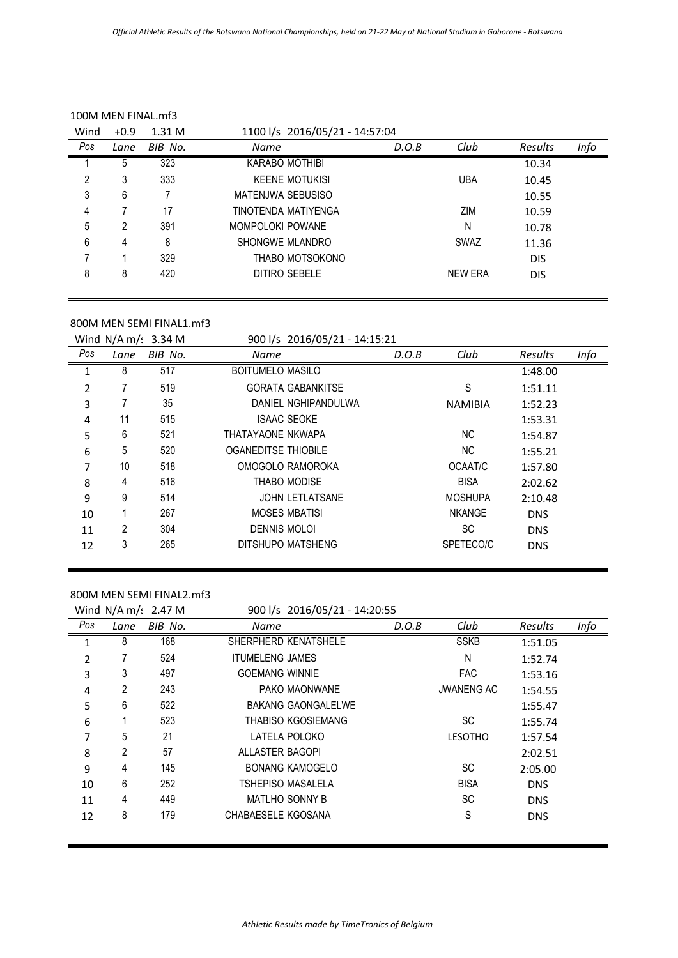| 100M MEN FINAL mf3 |        |         |                                |       |            |            |      |
|--------------------|--------|---------|--------------------------------|-------|------------|------------|------|
| Wind               | $+0.9$ | 1.31M   | 1100 l/s 2016/05/21 - 14:57:04 |       |            |            |      |
| Pos                | Lane   | BIB No. | <b>Name</b>                    | D.O.B | Club       | Results    | Info |
|                    | 5      | 323     | <b>KARABO MOTHIBI</b>          |       |            | 10.34      |      |
| 2                  | 3      | 333     | <b>KEENE MOTUKISI</b>          |       | <b>UBA</b> | 10.45      |      |
| 3                  | 6      |         | MATENJWA SEBUSISO              |       |            | 10.55      |      |
| 4                  |        | 17      | TINOTENDA MATIYENGA            |       | ZIM        | 10.59      |      |
| 5                  | 2      | 391     | MOMPOLOKI POWANE               |       | N          | 10.78      |      |
| 6                  | 4      | 8       | SHONGWE MLANDRO                |       | SWAZ       | 11.36      |      |
| 7                  |        | 329     | THABO MOTSOKONO                |       |            | <b>DIS</b> |      |
| 8                  | 8      | 420     | DITIRO SEBELE                  |       | NEW ERA    | <b>DIS</b> |      |

### 800M MEN SEMI FINAL1.mf3

Wind N/A m/s 3.34 M 900 l/s 2016/05/21 - 14:15:21

| Pos          | Lane | BIB No. | <b>Name</b>                | D.O.B | Club           | Results    | Info |
|--------------|------|---------|----------------------------|-------|----------------|------------|------|
| $\mathbf{1}$ | 8    | 517     | <b>BOITUMELO MASILO</b>    |       |                | 1:48.00    |      |
| 2            |      | 519     | <b>GORATA GABANKITSE</b>   |       | S              | 1:51.11    |      |
| 3            |      | 35      | DANIEL NGHIPANDULWA        |       | <b>NAMIBIA</b> | 1:52.23    |      |
| 4            | 11   | 515     | <b>ISAAC SEOKE</b>         |       |                | 1:53.31    |      |
| 5            | 6    | 521     | THATAYAONE NKWAPA          |       | NC.            | 1:54.87    |      |
| 6            | 5    | 520     | <b>OGANEDITSE THIOBILE</b> |       | NC.            | 1:55.21    |      |
| 7            | 10   | 518     | OMOGOLO RAMOROKA           |       | OCAAT/C        | 1:57.80    |      |
| 8            | 4    | 516     | <b>THABO MODISE</b>        |       | <b>BISA</b>    | 2:02.62    |      |
| 9            | 9    | 514     | <b>JOHN LETLATSANE</b>     |       | <b>MOSHUPA</b> | 2:10.48    |      |
| 10           |      | 267     | <b>MOSES MBATISI</b>       |       | <b>NKANGE</b>  | <b>DNS</b> |      |
| 11           | 2    | 304     | <b>DENNIS MOLOI</b>        |       | <b>SC</b>      | <b>DNS</b> |      |
| 12           | 3    | 265     | DITSHUPO MATSHENG          |       | SPETECO/C      | <b>DNS</b> |      |

## 800M MEN SEMI FINAL2.mf3

|     |      | Wind $N/A$ m/s 2.47 M | 900 l/s 2016/05/21 - 14:20:55 |       |                   |            |      |
|-----|------|-----------------------|-------------------------------|-------|-------------------|------------|------|
| Pos | Lane | BIB No.               | Name                          | D.O.B | Club              | Results    | Info |
| 1   | 8    | 168                   | SHERPHERD KENATSHELE          |       | <b>SSKB</b>       | 1:51.05    |      |
| 2   |      | 524                   | <b>ITUMELENG JAMES</b>        |       | N                 | 1:52.74    |      |
| 3   | 3    | 497                   | <b>GOEMANG WINNIE</b>         |       | <b>FAC</b>        | 1:53.16    |      |
| 4   | 2    | 243                   | PAKO MAONWANE                 |       | <b>JWANENG AC</b> | 1:54.55    |      |
| 5   | 6    | 522                   | <b>BAKANG GAONGALELWE</b>     |       |                   | 1:55.47    |      |
| 6   |      | 523                   | <b>THABISO KGOSIEMANG</b>     |       | <b>SC</b>         | 1:55.74    |      |
| 7   | 5    | 21                    | LATELA POLOKO                 |       | <b>LESOTHO</b>    | 1:57.54    |      |
| 8   | 2    | 57                    | ALLASTER BAGOPI               |       |                   | 2:02.51    |      |
| 9   | 4    | 145                   | <b>BONANG KAMOGELO</b>        |       | <b>SC</b>         | 2:05.00    |      |
| 10  | 6    | 252                   | <b>TSHEPISO MASALELA</b>      |       | <b>BISA</b>       | <b>DNS</b> |      |
| 11  | 4    | 449                   | <b>MATLHO SONNY B</b>         |       | <b>SC</b>         | <b>DNS</b> |      |
| 12  | 8    | 179                   | CHABAESELE KGOSANA            |       | S                 | <b>DNS</b> |      |
|     |      |                       |                               |       |                   |            |      |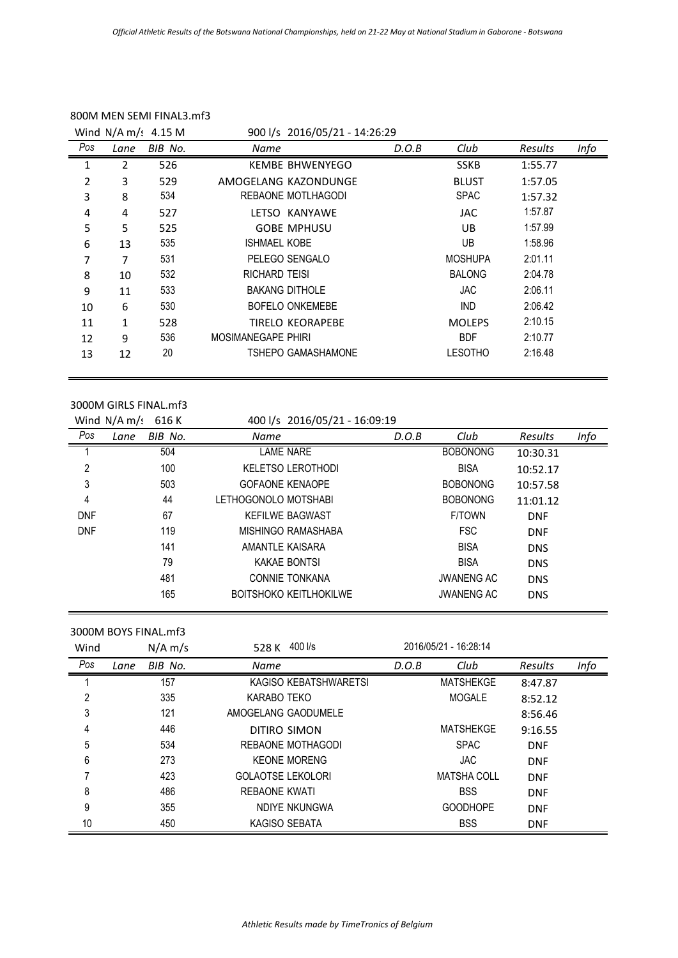|     |      | Wind $N/A$ m/: 4.15 M |                    | 900 l/s 2016/05/21 - 14:26:29 |       |                |         |      |
|-----|------|-----------------------|--------------------|-------------------------------|-------|----------------|---------|------|
| Pos | Lane | BIB No.               | Name               |                               | D.O.B | Club           | Results | Info |
| 1   | 2    | 526                   |                    | <b>KEMBE BHWENYEGO</b>        |       | <b>SSKB</b>    | 1:55.77 |      |
| 2   | 3    | 529                   |                    | AMOGELANG KAZONDUNGE          |       | <b>BLUST</b>   | 1:57.05 |      |
| 3   | 8    | 534                   |                    | REBAONE MOTLHAGODI            |       | <b>SPAC</b>    | 1:57.32 |      |
| 4   | 4    | 527                   |                    | LETSO KANYAWE                 |       | <b>JAC</b>     | 1:57.87 |      |
| 5   | 5    | 525                   |                    | <b>GOBE MPHUSU</b>            |       | UB.            | 1:57.99 |      |
| 6   | 13   | 535                   | ISHMAEL KOBE       |                               |       | UB.            | 1:58.96 |      |
| 7   | 7    | 531                   |                    | PELEGO SENGALO                |       | <b>MOSHUPA</b> | 2:01.11 |      |
| 8   | 10   | 532                   | RICHARD TEISI      |                               |       | <b>BALONG</b>  | 2:04.78 |      |
| 9   | 11   | 533                   |                    | <b>BAKANG DITHOLE</b>         |       | <b>JAC</b>     | 2:06.11 |      |
| 10  | 6    | 530                   |                    | BOFELO ONKEMEBE               |       | <b>IND</b>     | 2:06.42 |      |
| 11  | 1    | 528                   |                    | <b>TIRELO KEORAPEBE</b>       |       | <b>MOLEPS</b>  | 2:10.15 |      |
| 12  | 9    | 536                   | MOSIMANEGAPE PHIRI |                               |       | <b>BDF</b>     | 2:10.77 |      |
| 13  | 12   | 20                    |                    | TSHEPO GAMASHAMONE            |       | LESOTHO        | 2:16.48 |      |
|     |      |                       |                    |                               |       |                |         |      |

### 800M MEN SEMI FINAL3.mf3

### 3000M GIRLS FINAL.mf3

|            | Wind $N/A$ m/s<br>616 K | 400 l/s 2016/05/21 - 16:09:19 |       |                   |            |      |
|------------|-------------------------|-------------------------------|-------|-------------------|------------|------|
| Pos        | BIB No.<br>Lane         | <b>Name</b>                   | D.O.B | Club              | Results    | Info |
|            | 504                     | LAME NARE                     |       | <b>BOBONONG</b>   | 10:30.31   |      |
| 2          | 100                     | <b>KELETSO LEROTHODI</b>      |       | <b>BISA</b>       | 10:52.17   |      |
| 3          | 503                     | <b>GOFAONE KENAOPE</b>        |       | <b>BOBONONG</b>   | 10:57.58   |      |
| 4          | 44                      | LETHOGONOLO MOTSHABI          |       | <b>BOBONONG</b>   | 11:01.12   |      |
| <b>DNF</b> | 67                      | <b>KEFILWE BAGWAST</b>        |       | <b>F/TOWN</b>     | <b>DNF</b> |      |
| <b>DNF</b> | 119                     | MISHINGO RAMASHABA            |       | <b>FSC</b>        | <b>DNF</b> |      |
|            | 141                     | AMANTLE KAISARA               |       | <b>BISA</b>       | <b>DNS</b> |      |
|            | 79                      | KAKAE BONTSI                  |       | <b>BISA</b>       | <b>DNS</b> |      |
|            | 481                     | <b>CONNIE TONKANA</b>         |       | <b>JWANENG AC</b> | <b>DNS</b> |      |
|            | 165                     | <b>BOITSHOKO KEITLHOKILWE</b> |       | <b>JWANENG AC</b> | <b>DNS</b> |      |

3000M BOYS FINAL.mf3

| Wind |      | $N/A$ m/s | 400 l/s<br>528 K         |       | 2016/05/21 - 16:28:14 |            |      |
|------|------|-----------|--------------------------|-------|-----------------------|------------|------|
| Pos  | Lane | BIB No.   | Name                     | D.O.B | Club                  | Results    | Info |
|      |      | 157       | KAGISO KEBATSHWARETSI    |       | MATSHEKGE             | 8:47.87    |      |
| 2    |      | 335       | KARABO TEKO              |       | <b>MOGALE</b>         | 8:52.12    |      |
| 3    |      | 121       | AMOGELANG GAODUMELE      |       |                       | 8:56.46    |      |
| 4    |      | 446       | DITIRO SIMON             |       | MATSHEKGE             | 9:16.55    |      |
| 5    |      | 534       | REBAONE MOTHAGODI        |       | <b>SPAC</b>           | <b>DNF</b> |      |
| 6    |      | 273       | <b>KEONE MORENG</b>      |       | <b>JAC</b>            | <b>DNF</b> |      |
|      |      | 423       | <b>GOLAOTSE LEKOLORI</b> |       | MATSHA COLL           | <b>DNF</b> |      |
| 8    |      | 486       | REBAONE KWATI            |       | <b>BSS</b>            | <b>DNF</b> |      |
| 9    |      | 355       | NDIYE NKUNGWA            |       | <b>GOODHOPE</b>       | <b>DNF</b> |      |
| 10   |      | 450       | KAGISO SEBATA            |       | <b>BSS</b>            | <b>DNF</b> |      |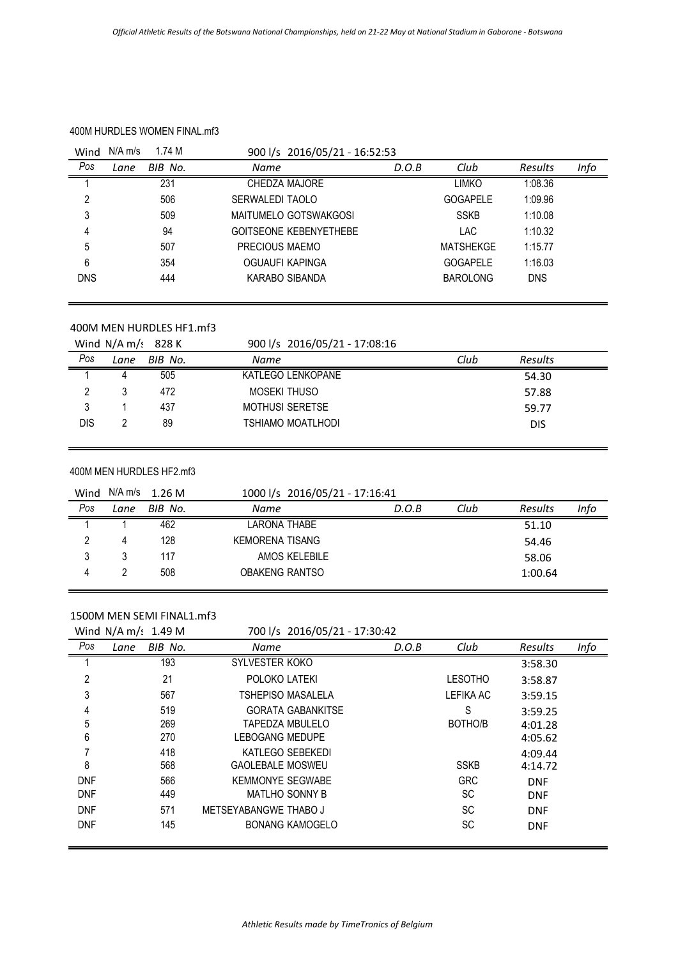### 400M HURDLES WOMEN FINAL.mf3

| Wind       | $N/A$ m/s | 1.74 M  | 900 l/s 2016/05/21 - 16:52:53 |       |                  |                |      |
|------------|-----------|---------|-------------------------------|-------|------------------|----------------|------|
| Pos        | Lane      | BIB No. | <b>Name</b>                   | D.O.B | Club             | <b>Results</b> | Info |
|            |           | 231     | CHEDZA MAJORE                 |       | LIMKO            | 1:08.36        |      |
| 2          |           | 506     | SERWALEDI TAOLO               |       | <b>GOGAPELE</b>  | 1:09.96        |      |
| 3          |           | 509     | <b>MAITUMELO GOTSWAKGOSI</b>  |       | <b>SSKB</b>      | 1:10.08        |      |
| 4          |           | 94      | <b>GOITSEONE KEBENYETHEBE</b> |       | <b>LAC</b>       | 1:10.32        |      |
| 5          |           | 507     | PRECIOUS MAEMO                |       | <b>MATSHEKGE</b> | 1:15.77        |      |
| 6          |           | 354     | OGUAUFI KAPINGA               |       | <b>GOGAPELE</b>  | 1:16.03        |      |
| <b>DNS</b> |           | 444     | KARABO SIBANDA                |       | <b>BAROLONG</b>  | <b>DNS</b>     |      |

### 400M MEN HURDLES HF1.mf3

|     |      | Wind $N/A$ m/s 828 K | 900 l/s 2016/05/21 - 17:08:16 |      |            |  |
|-----|------|----------------------|-------------------------------|------|------------|--|
| Pos | Lane | BIB No.              | Name                          | Club | Results    |  |
|     | д    | 505                  | KATLEGO LENKOPANE             |      | 54.30      |  |
|     |      | 472                  | MOSEKI THUSO                  |      | 57.88      |  |
|     |      | 437                  | <b>MOTHUSI SERETSE</b>        |      | 59.77      |  |
| DIS |      | 89                   | TSHIAMO MOATLHODI             |      | <b>DIS</b> |  |
|     |      |                      |                               |      |            |  |

#### 400M MEN HURDLES HF2.mf3

| Wind |      | $N/A$ m/s 1.26 M | 1000 l/s 2016/05/21 - 17:16:41 |       |      |                |      |
|------|------|------------------|--------------------------------|-------|------|----------------|------|
| Pos  | Lane | BIB No.          | Name                           | D.O.B | Club | <b>Results</b> | Info |
|      |      | 462              | LARONA THABE                   |       |      | 51.10          |      |
|      | 4    | 128              | KEMORENA TISANG                |       |      | 54.46          |      |
| 3    |      | 117              | AMOS KELEBILE                  |       |      | 58.06          |      |
| 4    |      | 508              | <b>OBAKENG RANTSO</b>          |       |      | 1:00.64        |      |

### 1500M MEN SEMI FINAL1.mf3

|                | Wind $N/A$ m/s 1.49 M | 700 l/s 2016/05/21 - 17:30:42 |       |                |            |      |
|----------------|-----------------------|-------------------------------|-------|----------------|------------|------|
| Pos            | BIB No.<br>Lane       | Name                          | D.O.B | Club           | Results    | Info |
|                | 193                   | SYLVESTER KOKO                |       |                | 3:58.30    |      |
| $\overline{2}$ | 21                    | POLOKO LATEKI                 |       | <b>LESOTHO</b> | 3:58.87    |      |
| 3              | 567                   | TSHEPISO MASALELA             |       | LEFIKA AC      | 3:59.15    |      |
| 4              | 519                   | <b>GORATA GABANKITSE</b>      |       | S              | 3:59.25    |      |
| 5              | 269                   | TAPEDZA MBULELO               |       | BOTHO/B        | 4:01.28    |      |
| 6              | 270                   | <b>LEBOGANG MEDUPE</b>        |       |                | 4:05.62    |      |
| 7              | 418                   | KATLEGO SEBEKEDI              |       |                | 4:09.44    |      |
| 8              | 568                   | <b>GAOLEBALE MOSWEU</b>       |       | <b>SSKB</b>    | 4:14.72    |      |
| <b>DNF</b>     | 566                   | <b>KEMMONYE SEGWABE</b>       |       | <b>GRC</b>     | <b>DNF</b> |      |
| <b>DNF</b>     | 449                   | <b>MATLHO SONNY B</b>         |       | <b>SC</b>      | <b>DNF</b> |      |
| <b>DNF</b>     | 571                   | METSEYABANGWE THABO J         |       | <b>SC</b>      | <b>DNF</b> |      |
| <b>DNF</b>     | 145                   | <b>BONANG KAMOGELO</b>        |       | SC             | <b>DNF</b> |      |
|                |                       |                               |       |                |            |      |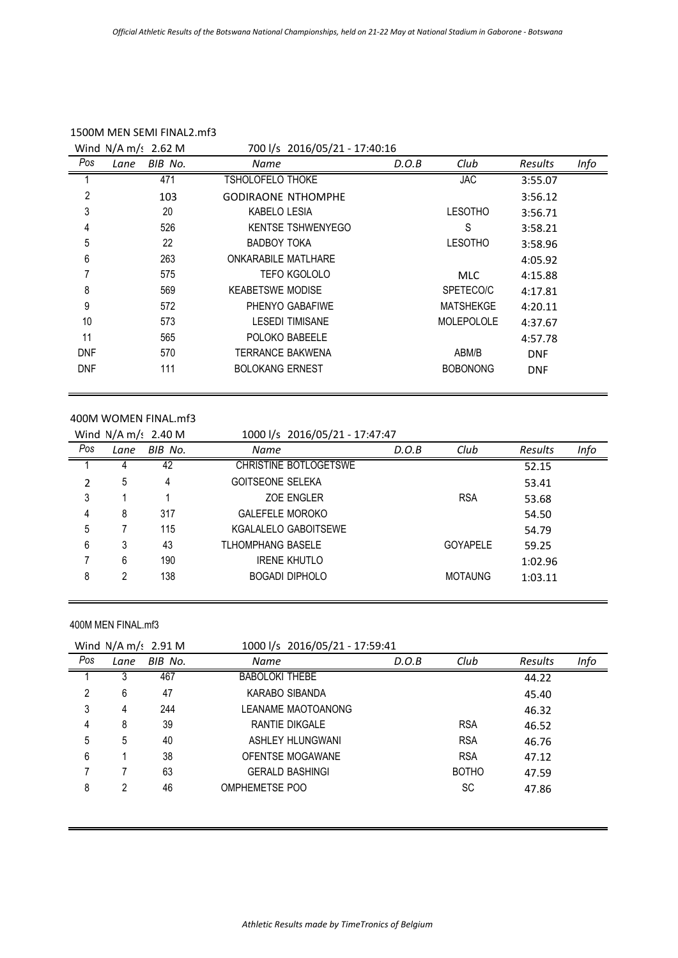|            | Wind $N/A$ m/s 2.62 M | 700 l/s 2016/05/21 - 17:40:16 |       |                   |                |      |
|------------|-----------------------|-------------------------------|-------|-------------------|----------------|------|
| Pos        | BIB No.<br>Lane       | Name                          | D.O.B | Club              | <b>Results</b> | Info |
|            | 471                   | <b>TSHOLOFELO THOKE</b>       |       | <b>JAC</b>        | 3:55.07        |      |
| 2          | 103                   | <b>GODIRAONE NTHOMPHE</b>     |       |                   | 3:56.12        |      |
| 3          | 20                    | <b>KABELO LESIA</b>           |       | <b>LESOTHO</b>    | 3:56.71        |      |
| 4          | 526                   | <b>KENTSE TSHWENYEGO</b>      |       | S                 | 3:58.21        |      |
| 5          | 22                    | <b>BADBOY TOKA</b>            |       | <b>LESOTHO</b>    | 3:58.96        |      |
| 6          | 263                   | <b>ONKARABILE MATLHARE</b>    |       |                   | 4:05.92        |      |
| 7          | 575                   | TEFO KGOLOLO                  |       | <b>MLC</b>        | 4:15.88        |      |
| 8          | 569                   | <b>KEABETSWE MODISE</b>       |       | SPETECO/C         | 4:17.81        |      |
| 9          | 572                   | PHENYO GABAFIWE               |       | <b>MATSHEKGE</b>  | 4:20.11        |      |
| 10         | 573                   | <b>LESEDI TIMISANE</b>        |       | <b>MOLEPOLOLE</b> | 4:37.67        |      |
| 11         | 565                   | POLOKO BABEELE                |       |                   | 4:57.78        |      |
| <b>DNF</b> | 570                   | TERRANCE BAKWENA              |       | ABM/B             | <b>DNF</b>     |      |
| <b>DNF</b> | 111                   | <b>BOLOKANG ERNEST</b>        |       | <b>BOBONONG</b>   | <b>DNF</b>     |      |

#### 400M WOMEN FINAL.mf3

|                |      | Wind $N/A$ m/: 2.40 M | 1000 l/s 2016/05/21 - 17:47:47 |       |                 |         |      |
|----------------|------|-----------------------|--------------------------------|-------|-----------------|---------|------|
| Pos            | Lane | BIB No.               | Name                           | D.O.B | Club            | Results | Info |
|                |      | 42                    | CHRISTINE BOTLOGETSWE          |       |                 | 52.15   |      |
| $\overline{2}$ | 5    | 4                     | <b>GOITSEONE SELEKA</b>        |       |                 | 53.41   |      |
| 3              |      |                       | ZOE ENGLER                     |       | <b>RSA</b>      | 53.68   |      |
| 4              | 8    | 317                   | <b>GALEFELE MOROKO</b>         |       |                 | 54.50   |      |
| 5              |      | 115                   | KGALALELO GABOITSEWE           |       |                 | 54.79   |      |
| 6              | 3    | 43                    | <b>TLHOMPHANG BASELE</b>       |       | <b>GOYAPELE</b> | 59.25   |      |
|                | 6    | 190                   | <b>IRENE KHUTLO</b>            |       |                 | 1:02.96 |      |
| 8              | 2    | 138                   | <b>BOGADI DIPHOLO</b>          |       | <b>MOTAUNG</b>  | 1:03.11 |      |

#### 400M MEN FINAL.mf3

|     |      | Wind $N/A$ m/s 2.91 M | 1000 l/s 2016/05/21 - 17:59:41 |       |              |         |      |
|-----|------|-----------------------|--------------------------------|-------|--------------|---------|------|
| Pos | Lane | BIB No.               | Name                           | D.O.B | Club         | Results | Info |
|     |      | 467                   | <b>BABOLOKI THEBE</b>          |       |              | 44.22   |      |
| 2   | 6    | 47                    | KARABO SIBANDA                 |       |              | 45.40   |      |
| 3   | 4    | 244                   | LEANAME MAOTOANONG             |       |              | 46.32   |      |
| 4   | 8    | 39                    | RANTIE DIKGALE                 |       | <b>RSA</b>   | 46.52   |      |
| 5   | 5    | 40                    | ASHLEY HLUNGWANI               |       | <b>RSA</b>   | 46.76   |      |
| 6   |      | 38                    | OFENTSE MOGAWANE               |       | <b>RSA</b>   | 47.12   |      |
|     |      | 63                    | <b>GERALD BASHINGI</b>         |       | <b>BOTHO</b> | 47.59   |      |
| 8   |      | 46                    | OMPHEMETSE POO                 |       | <b>SC</b>    | 47.86   |      |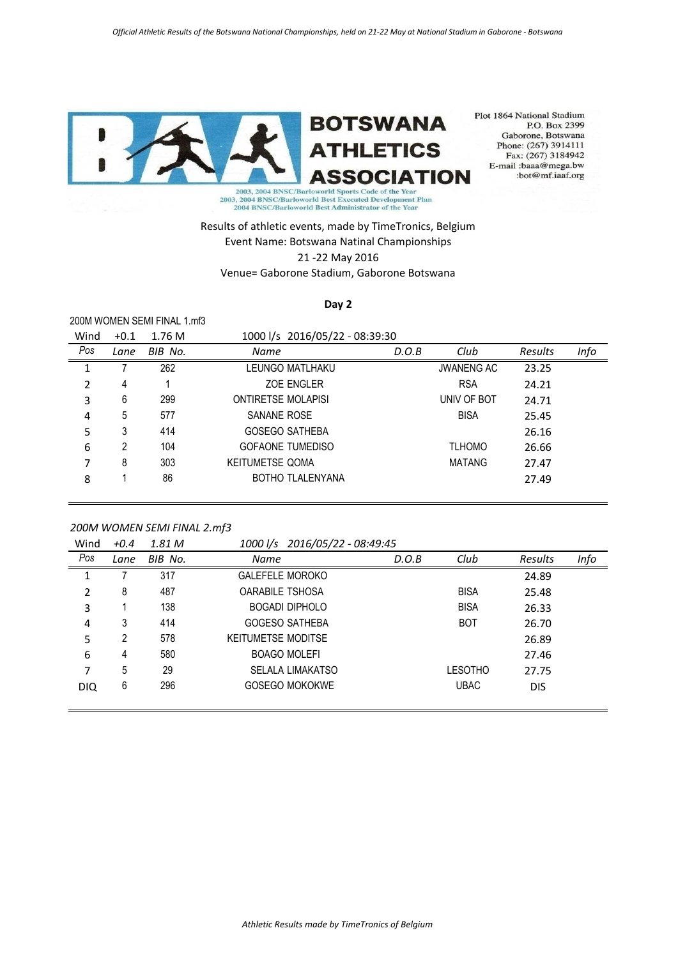

Plot 1864 National Stadium P.O. Box 2399 Gaborone, Botswana<br>Phone: (267) 3914111 Fax: (267) 3184942 E-mail:baaa@mega.bw :bot@mf.iaaf.org

Results of athletic events, made by TimeTronics, Belgium Event Name: Botswana Natinal Championships 21 -22 May 2016

Venue= Gaborone Stadium, Gaborone Botswana

**Day 2**

200M WOMEN SEMI FINAL 1.mf3

| Wind | $+0.1$ | 1.76M   | 1000 l/s 2016/05/22 - 08:39:30 |       |                   |         |      |
|------|--------|---------|--------------------------------|-------|-------------------|---------|------|
| Pos  | Lane   | BIB No. | Name                           | D.O.B | Club              | Results | Info |
|      |        | 262     | LEUNGO MATLHAKU                |       | <b>JWANENG AC</b> | 23.25   |      |
| 2    | 4      |         | ZOE ENGLER                     |       | <b>RSA</b>        | 24.21   |      |
| 3    | 6      | 299     | <b>ONTIRETSE MOLAPISI</b>      |       | UNIV OF BOT       | 24.71   |      |
| 4    | 5      | 577     | SANANE ROSE                    |       | <b>BISA</b>       | 25.45   |      |
| 5    | 3      | 414     | <b>GOSEGO SATHEBA</b>          |       |                   | 26.16   |      |
| 6    | 2      | 104     | <b>GOFAONE TUMEDISO</b>        |       | <b>TLHOMO</b>     | 26.66   |      |
| 7    | 8      | 303     | <b>KEITUMETSE QOMA</b>         |       | MATANG            | 27.47   |      |
| 8    |        | 86      | <b>BOTHO TLALENYANA</b>        |       |                   | 27.49   |      |

#### *200M WOMEN SEMI FINAL 2.mf3*

| Wind       | $+0.4$ | 1.81 M  | 1000 l/s 2016/05/22 - 08:49:45 |       |                |                |      |
|------------|--------|---------|--------------------------------|-------|----------------|----------------|------|
| Pos        | Lane   | BIB No. | <b>Name</b>                    | D.O.B | Club           | <b>Results</b> | Info |
| 1          |        | 317     | <b>GALEFELE MOROKO</b>         |       |                | 24.89          |      |
| 2          | 8      | 487     | <b>OARABILE TSHOSA</b>         |       | <b>BISA</b>    | 25.48          |      |
| 3          |        | 138     | <b>BOGADI DIPHOLO</b>          |       | <b>BISA</b>    | 26.33          |      |
| 4          | 3      | 414     | <b>GOGESO SATHEBA</b>          |       | <b>BOT</b>     | 26.70          |      |
| 5          | 2      | 578     | <b>KEITUMETSE MODITSE</b>      |       |                | 26.89          |      |
| 6          | 4      | 580     | <b>BOAGO MOLEFI</b>            |       |                | 27.46          |      |
| 7          | 5      | 29      | <b>SELALA LIMAKATSO</b>        |       | <b>LESOTHO</b> | 27.75          |      |
| <b>DIQ</b> | 6      | 296     | <b>GOSEGO MOKOKWE</b>          |       | <b>UBAC</b>    | <b>DIS</b>     |      |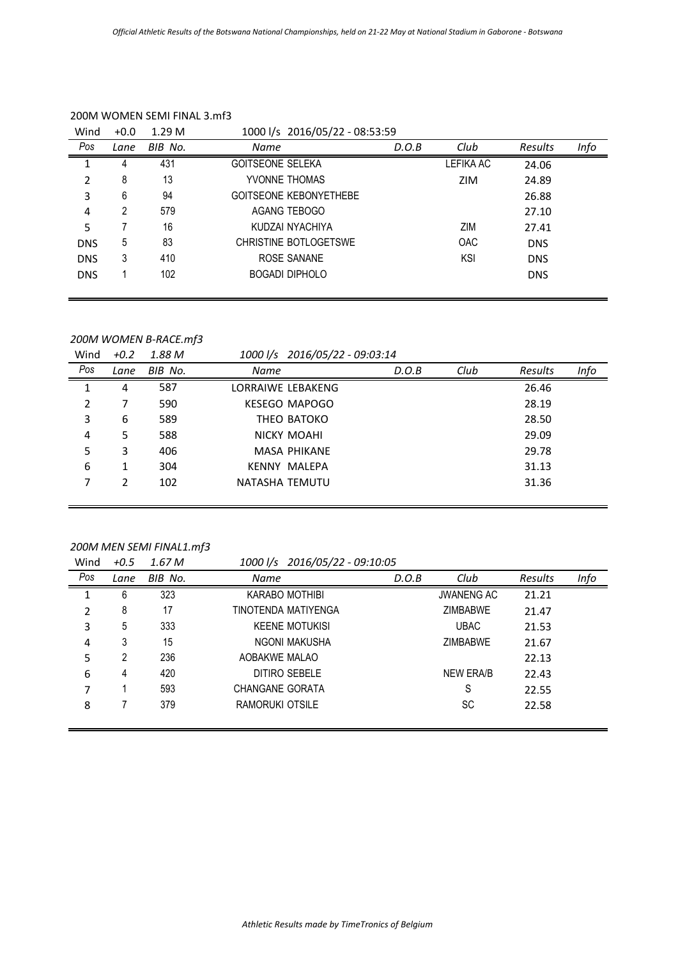| Wind       | $+0.0$ | 1.29 <sub>M</sub> | 1000 l/s 2016/05/22 - 08:53:59 |       |            |            |      |
|------------|--------|-------------------|--------------------------------|-------|------------|------------|------|
| Pos        | Lane   | BIB No.           | <b>Name</b>                    | D.O.B | Club       | Results    | Info |
|            | 4      | 431               | <b>GOITSEONE SELEKA</b>        |       | LEFIKA AC  | 24.06      |      |
| 2          | 8      | 13                | YVONNE THOMAS                  |       | <b>ZIM</b> | 24.89      |      |
| 3          | 6      | 94                | <b>GOITSEONE KEBONYETHEBE</b>  |       |            | 26.88      |      |
| 4          | 2      | 579               | AGANG TEBOGO                   |       |            | 27.10      |      |
| 5          |        | 16                | KUDZAI NYACHIYA                |       | ZIM        | 27.41      |      |
| <b>DNS</b> | 5      | 83                | CHRISTINE BOTLOGETSWE          |       | <b>OAC</b> | <b>DNS</b> |      |
| <b>DNS</b> | 3      | 410               | ROSE SANANE                    |       | <b>KSI</b> | <b>DNS</b> |      |
| <b>DNS</b> |        | 102               | <b>BOGADI DIPHOLO</b>          |       |            | <b>DNS</b> |      |
|            |        |                   |                                |       |            |            |      |

#### 200M WOMEN SEMI FINAL 3.mf3

### *200M WOMEN B-RACE.mf3*

Wind *+0.2 1.88 M 1000 l/s 2016/05/22 - 09:03:14 Pos Lane BIB No. Name D.O.B Club Results Info*

| ט ו            | Lune | DID IVU. | <i>INUITIE</i>       | V.V.D | CIUD | nesuits | шju |
|----------------|------|----------|----------------------|-------|------|---------|-----|
|                | 4    | 587      | LORRAIWE LEBAKENG    |       |      | 26.46   |     |
| $\overline{2}$ |      | 590      | <b>KESEGO MAPOGO</b> |       |      | 28.19   |     |
| 3              | 6    | 589      | THEO BATOKO          |       |      | 28.50   |     |
| 4              | 5.   | 588      | NICKY MOAHI          |       |      | 29.09   |     |
| 5              | 3    | 406      | <b>MASA PHIKANE</b>  |       |      | 29.78   |     |
| 6              | 1    | 304      | KENNY MALEPA         |       |      | 31.13   |     |
| 7              | 2    | 102      | NATASHA TEMUTU       |       |      | 31.36   |     |
|                |      |          |                      |       |      |         |     |

### *200M MEN SEMI FINAL1.mf3*

Wind *+0.5 1.67 M 1000 l/s 2016/05/22 - 09:10:05*

|     |      |         | ----, --, -           |       |                   |         |      |
|-----|------|---------|-----------------------|-------|-------------------|---------|------|
| Pos | Lane | BIB No. | Name                  | D.O.B | Club              | Results | Info |
| 1   | 6    | 323     | KARABO MOTHIBI        |       | <b>JWANENG AC</b> | 21.21   |      |
| 2   | 8    | 17      | TINOTENDA MATIYENGA   |       | <b>ZIMBABWE</b>   | 21.47   |      |
| 3   | 5    | 333     | <b>KEENE MOTUKISI</b> |       | <b>UBAC</b>       | 21.53   |      |
| 4   | 3    | 15      | NGONI MAKUSHA         |       | <b>ZIMBABWE</b>   | 21.67   |      |
| 5   | 2    | 236     | AOBAKWE MALAO         |       |                   | 22.13   |      |
| 6   | 4    | 420     | DITIRO SEBELE         |       | <b>NEW ERA/B</b>  | 22.43   |      |
| 7   |      | 593     | CHANGANE GORATA       |       | S                 | 22.55   |      |
| 8   |      | 379     | RAMORUKI OTSILE       |       | SC                | 22.58   |      |
|     |      |         |                       |       |                   |         |      |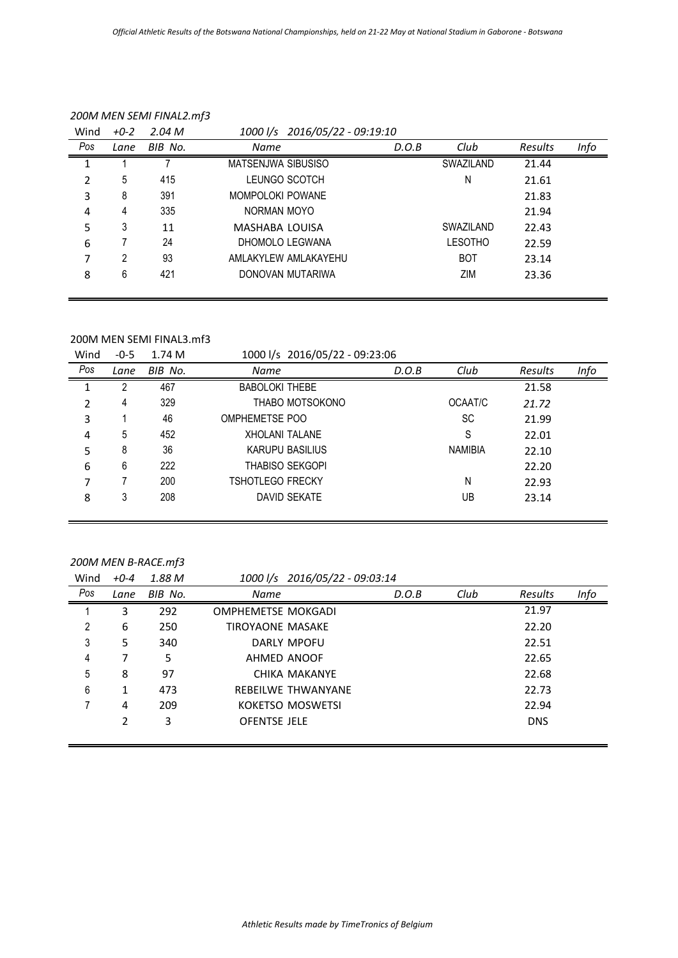| Wind | $+0-2$ | 2.04 M  | 1000 l/s 2016/05/22 - 09:19:10 |       |                  |         |      |
|------|--------|---------|--------------------------------|-------|------------------|---------|------|
| Pos  | Lane   | BIB No. | Name                           | D.O.B | Club             | Results | Info |
|      |        |         | MATSENJWA SIBUSISO             |       | <b>SWAZILAND</b> | 21.44   |      |
| 2    | 5      | 415     | LEUNGO SCOTCH                  |       | N                | 21.61   |      |
| 3    | 8      | 391     | MOMPOLOKI POWANE               |       |                  | 21.83   |      |
| 4    | 4      | 335     | NORMAN MOYO                    |       |                  | 21.94   |      |
| 5    | 3      | 11      | MASHABA LOUISA                 |       | SWAZILAND        | 22.43   |      |
| 6    |        | 24      | DHOMOLO LEGWANA                |       | <b>LESOTHO</b>   | 22.59   |      |
| 7    | 2      | 93      | AMLAKYLEW AMLAKAYEHU           |       | <b>BOT</b>       | 23.14   |      |
| 8    | 6      | 421     | DONOVAN MUTARIWA               |       | ZIM              | 23.36   |      |
|      |        |         |                                |       |                  |         |      |

### *200M MEN SEMI FINAL2.mf3*

#### 200M MEN SEMI FINAL3.mf3

| Wind | $-0-5$ | 1.74 M  | 1000 l/s 2016/05/22 - 09:23:06 |       |                |         |      |
|------|--------|---------|--------------------------------|-------|----------------|---------|------|
| Pos  | Lane   | BIB No. | Name                           | D.O.B | Club           | Results | Info |
| 1    | 2      | 467     | <b>BABOLOKI THEBE</b>          |       |                | 21.58   |      |
| 2    | 4      | 329     | THABO MOTSOKONO                |       | OCAAT/C        | 21.72   |      |
| 3    |        | 46      | OMPHEMETSE POO                 |       | SC             | 21.99   |      |
| 4    | 5      | 452     | <b>XHOLANI TALANE</b>          |       | S              | 22.01   |      |
| 5    | 8      | 36      | KARUPU BASILIUS                |       | <b>NAMIBIA</b> | 22.10   |      |
| 6    | 6      | 222     | <b>THABISO SEKGOPI</b>         |       |                | 22.20   |      |
| 7    |        | 200     | <b>TSHOTLEGO FRECKY</b>        |       | N              | 22.93   |      |
| 8    | 3      | 208     | DAVID SEKATE                   |       | UB             | 23.14   |      |
|      |        |         |                                |       |                |         |      |

## *200M MEN B-RACE.mf3*

Wind *+0-4 1.88 M 1000 l/s 2016/05/22 - 09:03:14*

|     |      |         | ____, __, __        |       |      |            |      |
|-----|------|---------|---------------------|-------|------|------------|------|
| Pos | Lane | BIB No. | Name                | D.O.B | Club | Results    | Info |
|     | 3    | 292     | OMPHEMETSE MOKGADI  |       |      | 21.97      |      |
| 2   | 6    | 250     | TIROYAONE MASAKE    |       |      | 22.20      |      |
| 3   | 5    | 340     | DARLY MPOFU         |       |      | 22.51      |      |
| 4   |      | 5.      | AHMED ANOOF         |       |      | 22.65      |      |
| 5   | 8    | 97      | CHIKA MAKANYE       |       |      | 22.68      |      |
| 6   | 1    | 473     | REBEILWE THWANYANE  |       |      | 22.73      |      |
|     | 4    | 209     | KOKETSO MOSWETSI    |       |      | 22.94      |      |
|     | 2    | 3       | <b>OFENTSE JELE</b> |       |      | <b>DNS</b> |      |
|     |      |         |                     |       |      |            |      |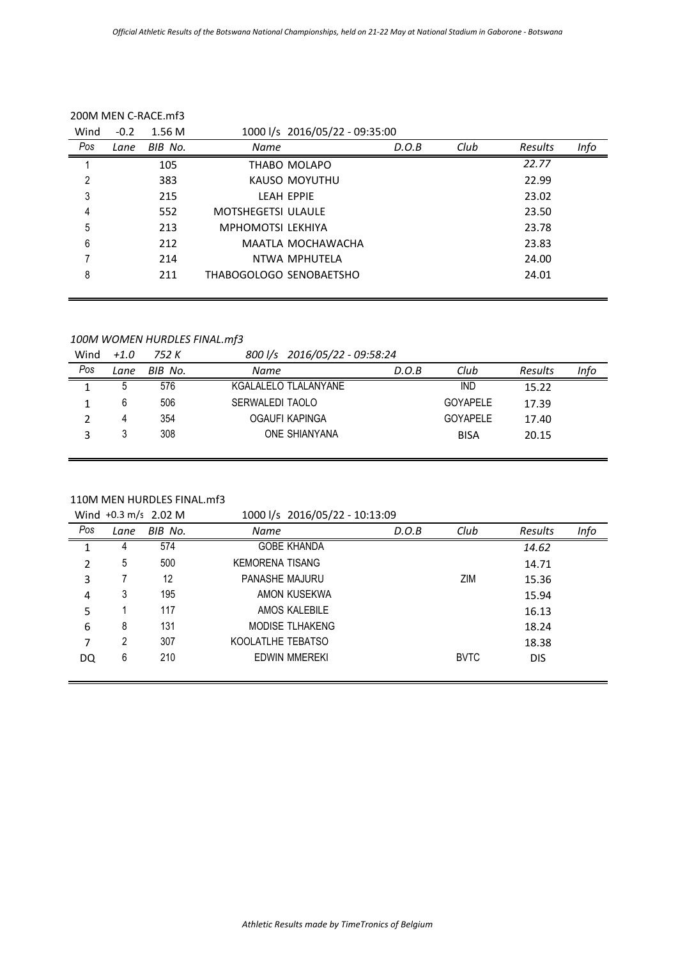| D.O.B                   | Club                                                | Results | Info |
|-------------------------|-----------------------------------------------------|---------|------|
|                         |                                                     | 22.77   |      |
|                         |                                                     | 22.99   |      |
|                         |                                                     | 23.02   |      |
|                         |                                                     | 23.50   |      |
|                         |                                                     | 23.78   |      |
|                         |                                                     | 23.83   |      |
|                         |                                                     | 24.00   |      |
|                         |                                                     | 24.01   |      |
| THABOGOLOGO SENOBAETSHO | 1000 l/s 2016/05/22 - 09:35:00<br>MAATLA MOCHAWACHA |         |      |

## *100M WOMEN HURDLES FINAL.mf3*

Wind *+1.0 752 K 800 l/s 2016/05/22 - 09:58:24*

| Pos | Lane | BIB No. | Name                 | D.O.B | Club            | Results | Info |
|-----|------|---------|----------------------|-------|-----------------|---------|------|
|     |      | 576     | KGALALELO TLALANYANE |       | <b>IND</b>      | 15.22   |      |
|     |      | 506     | SERWALEDI TAOLO      |       | <b>GOYAPELE</b> | 17.39   |      |
|     |      | 354     | OGAUFI KAPINGA       |       | <b>GOYAPELE</b> | 17.40   |      |
|     |      | 308     | <b>ONE SHIANYANA</b> |       | <b>BISA</b>     | 20.15   |      |
|     |      |         |                      |       |                 |         |      |

## 110M MEN HURDLES FINAL.mf3

Wind +0.3 m/s 2.02 M 1000 l/s 2016/05/22 - 10:13:09 *Pos Lane BIB No. Name D.O.B Club Results Info* 1 4 574 GOBE KHANDA *14.62* 2 5 500 KEMORENA TISANG 14.71 3 7 12 PANASHE MAJURU 2IM 215.36 4 3 195 AMON KUSEKWA 15.94 5 1 117 AMOS KALEBILE 16.13 6 8 131 MODISE TLHAKENG 18.24 7 2 307 KOOLATLHE TEBATSO 18.38 DQ 6 210 EDWIN MMEREKI BVTC DIS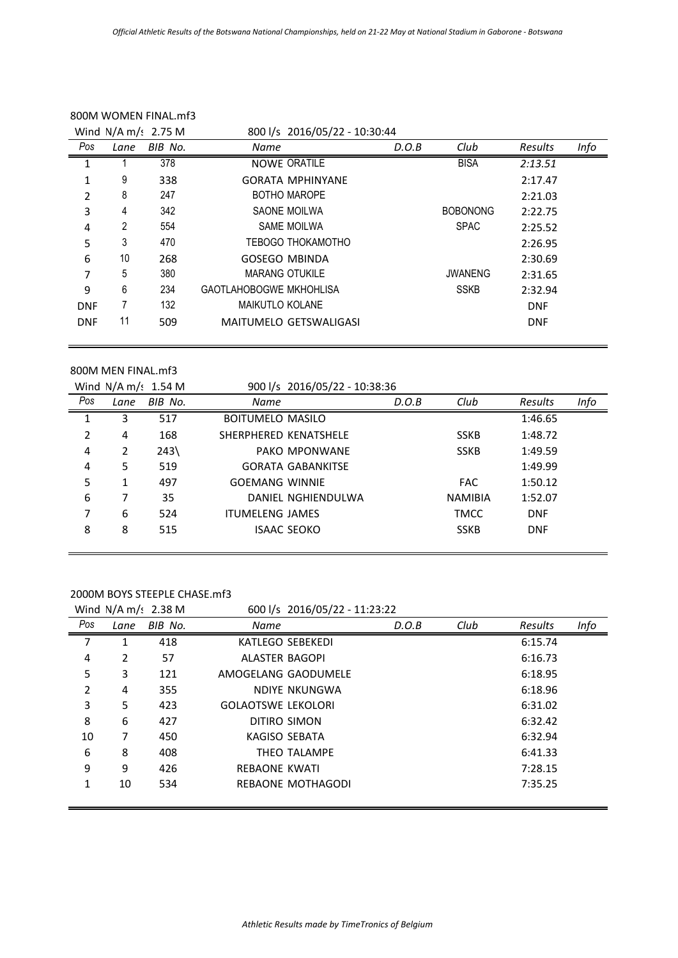|            |      | Wind $N/A$ m/s 2.75 M | 800 l/s 2016/05/22 - 10:30:44  |                               |       |                 |            |      |
|------------|------|-----------------------|--------------------------------|-------------------------------|-------|-----------------|------------|------|
| Pos        | Lane | BIB No.               | Name                           |                               | D.O.B | Club            | Results    | Info |
|            |      | 378                   |                                | <b>NOWE ORATILE</b>           |       | <b>BISA</b>     | 2:13.51    |      |
| 1          | 9    | 338                   |                                | <b>GORATA MPHINYANE</b>       |       |                 | 2:17.47    |      |
| 2          | 8    | 247                   |                                | <b>BOTHO MAROPE</b>           |       |                 | 2:21.03    |      |
| 3          | 4    | 342                   |                                | SAONE MOILWA                  |       | <b>BOBONONG</b> | 2:22.75    |      |
| 4          | 2    | 554                   |                                | <b>SAME MOILWA</b>            |       | <b>SPAC</b>     | 2:25.52    |      |
| 5          | 3    | 470                   |                                | <b>TEBOGO THOKAMOTHO</b>      |       |                 | 2:26.95    |      |
| 6          | 10   | 268                   | <b>GOSEGO MBINDA</b>           |                               |       |                 | 2:30.69    |      |
| 7          | 5    | 380                   | <b>MARANG OTUKILE</b>          |                               |       | <b>JWANENG</b>  | 2:31.65    |      |
| 9          | 6    | 234                   | <b>GAOTLAHOBOGWE MKHOHLISA</b> |                               |       | <b>SSKB</b>     | 2:32.94    |      |
| <b>DNF</b> |      | 132                   | <b>MAIKUTLO KOLANE</b>         |                               |       |                 | <b>DNF</b> |      |
| <b>DNF</b> | 11   | 509                   |                                | <b>MAITUMELO GETSWALIGASI</b> |       |                 | <b>DNF</b> |      |

### 800M WOMEN FINAL.mf3

#### 800M MEN FINAL.mf3

|     |      | Wind $N/A$ m/: 1.54 M | 900 l/s 2016/05/22 - 10:38:36 |                          |       |                |                |      |
|-----|------|-----------------------|-------------------------------|--------------------------|-------|----------------|----------------|------|
| Pos | Lane | BIB No.               | Name                          |                          | D.O.B | Club           | <b>Results</b> | Info |
| 1   | 3    | 517                   | <b>BOITUMELO MASILO</b>       |                          |       |                | 1:46.65        |      |
| 2   | 4    | 168                   | SHERPHERED KENATSHELE         |                          |       | <b>SSKB</b>    | 1:48.72        |      |
| 4   | 2    | $243\%$               |                               | PAKO MPONWANE            |       | <b>SSKB</b>    | 1:49.59        |      |
| 4   | 5    | 519                   |                               | <b>GORATA GABANKITSE</b> |       |                | 1:49.99        |      |
| 5   | 1    | 497                   | <b>GOEMANG WINNIE</b>         |                          |       | <b>FAC</b>     | 1:50.12        |      |
| 6   |      | 35                    |                               | DANIEL NGHIENDULWA       |       | <b>NAMIBIA</b> | 1:52.07        |      |
| 7   | 6    | 524                   | <b>ITUMELENG JAMES</b>        |                          |       | <b>TMCC</b>    | <b>DNF</b>     |      |
| 8   | 8    | 515                   |                               | <b>ISAAC SEOKO</b>       |       | <b>SSKB</b>    | <b>DNF</b>     |      |
|     |      |                       |                               |                          |       |                |                |      |

### 2000M BOYS STEEPLE CHASE.mf3

|     |      | Wind $N/A$ m/s 2.38 M |                           | 600 l/s 2016/05/22 - 11:23:22 |       |      |         |      |
|-----|------|-----------------------|---------------------------|-------------------------------|-------|------|---------|------|
| Pos | Lane | BIB No.               | Name                      |                               | D.O.B | Club | Results | Info |
| 7   | 1    | 418                   | KATLEGO SEBEKEDI          |                               |       |      | 6:15.74 |      |
| 4   | 2    | 57                    | <b>ALASTER BAGOPI</b>     |                               |       |      | 6:16.73 |      |
| 5   | 3    | 121                   | AMOGELANG GAODUMELE       |                               |       |      | 6:18.95 |      |
| 2   | 4    | 355                   |                           | NDIYE NKUNGWA                 |       |      | 6:18.96 |      |
| 3   | 5    | 423                   | <b>GOLAOTSWE LEKOLORI</b> |                               |       |      | 6:31.02 |      |
| 8   | 6    | 427                   | DITIRO SIMON              |                               |       |      | 6:32.42 |      |
| 10  | 7    | 450                   | KAGISO SEBATA             |                               |       |      | 6:32.94 |      |
| 6   | 8    | 408                   |                           | THEO TALAMPE                  |       |      | 6:41.33 |      |
| 9   | 9    | 426                   | <b>REBAONE KWATI</b>      |                               |       |      | 7:28.15 |      |
| 1   | 10   | 534                   |                           | REBAONE MOTHAGODI             |       |      | 7:35.25 |      |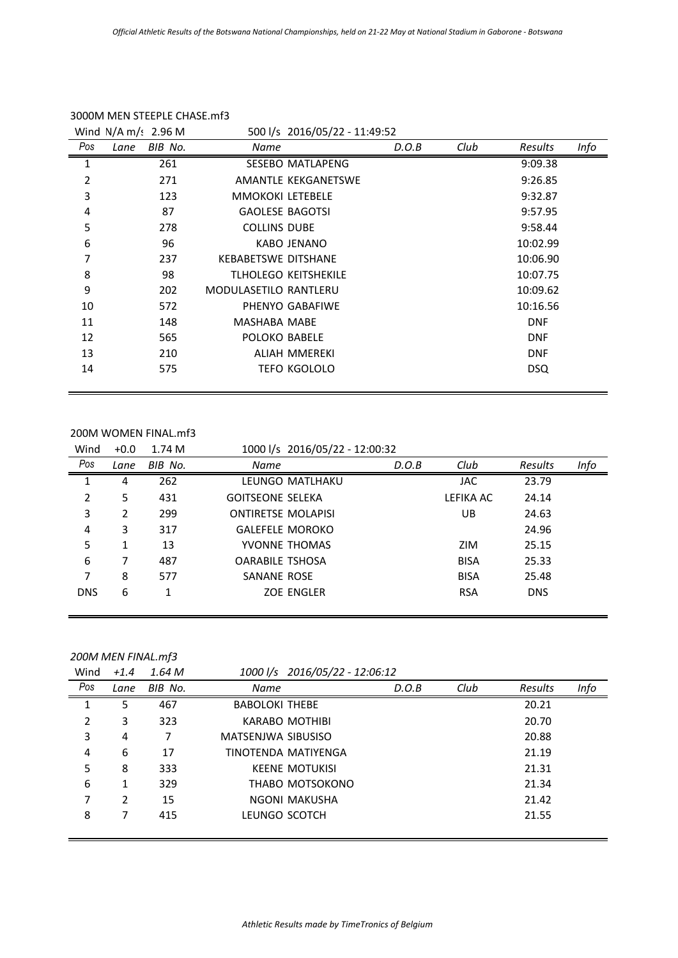|     | Wind $N/A$ m/: 2.96 M |                              | 500 l/s 2016/05/22 - 11:49:52 |       |      |            |      |
|-----|-----------------------|------------------------------|-------------------------------|-------|------|------------|------|
| Pos | BIB No.<br>Lane       | Name                         |                               | D.O.B | Club | Results    | Info |
| 1   | 261                   |                              | <b>SESEBO MATLAPENG</b>       |       |      | 9:09.38    |      |
| 2   | 271                   |                              | AMANTLE KEKGANETSWE           |       |      | 9:26.85    |      |
| 3   | 123                   | <b>MMOKOKI LETEBELE</b>      |                               |       |      | 9:32.87    |      |
| 4   | 87                    | <b>GAOLESE BAGOTSI</b>       |                               |       |      | 9:57.95    |      |
| 5   | 278                   | <b>COLLINS DUBE</b>          |                               |       |      | 9:58.44    |      |
| 6   | 96                    |                              | KABO JENANO                   |       |      | 10:02.99   |      |
| 7   | 237                   | <b>KEBABETSWE DITSHANE</b>   |                               |       |      | 10:06.90   |      |
| 8   | 98                    |                              | <b>TLHOLEGO KEITSHEKILE</b>   |       |      | 10:07.75   |      |
| 9   | 202                   | <b>MODULASETILO RANTLERU</b> |                               |       |      | 10:09.62   |      |
| 10  | 572                   |                              | PHENYO GABAFIWE               |       |      | 10:16.56   |      |
| 11  | 148                   | MASHABA MABE                 |                               |       |      | <b>DNF</b> |      |
| 12  | 565                   | POLOKO BABELE                |                               |       |      | <b>DNF</b> |      |
| 13  | 210                   |                              | ALIAH MMEREKI                 |       |      | <b>DNF</b> |      |
| 14  | 575                   |                              | <b>TEFO KGOLOLO</b>           |       |      | <b>DSQ</b> |      |

### 3000M MEN STEEPLE CHASE.mf3

### 200M WOMEN FINAL.mf3

| Wind       | $+0.0$ | 1.74 M  | 1000 l/s 2016/05/22 - 12:00:32 |       |             |            |      |
|------------|--------|---------|--------------------------------|-------|-------------|------------|------|
| Pos        | Lane   | BIB No. | Name                           | D.O.B | Club        | Results    | Info |
| 1          | 4      | 262     | LEUNGO MATLHAKU                |       | <b>JAC</b>  | 23.79      |      |
| 2          | 5      | 431     | <b>GOITSEONE SELEKA</b>        |       | LEFIKA AC   | 24.14      |      |
| 3          | 2      | 299     | <b>ONTIRETSE MOLAPISI</b>      |       | UB.         | 24.63      |      |
| 4          | 3      | 317     | <b>GALEFELE MOROKO</b>         |       |             | 24.96      |      |
| 5          |        | 13      | YVONNE THOMAS                  |       | ZIM         | 25.15      |      |
| 6          | 7      | 487     | <b>OARABILE TSHOSA</b>         |       | <b>BISA</b> | 25.33      |      |
| 7          | 8      | 577     | SANANE ROSE                    |       | <b>BISA</b> | 25.48      |      |
| <b>DNS</b> | 6      |         | <b>ZOE ENGLER</b>              |       | <b>RSA</b>  | <b>DNS</b> |      |
|            |        |         |                                |       |             |            |      |

## *200M MEN FINAL.mf3*

| Wind | $+1.4$ | 1.64 M  |                       | 1000 l/s 2016/05/22 - 12:06:12 |       |      |         |      |
|------|--------|---------|-----------------------|--------------------------------|-------|------|---------|------|
| Pos  | Lane   | BIB No. | <b>Name</b>           |                                | D.O.B | Club | Results | Info |
| 1    | 5      | 467     | <b>BABOLOKI THEBE</b> |                                |       |      | 20.21   |      |
| 2    | 3      | 323     |                       | <b>KARABO MOTHIBI</b>          |       |      | 20.70   |      |
| 3    | 4      | 7       | MATSENJWA SIBUSISO    |                                |       |      | 20.88   |      |
| 4    | 6      | 17      |                       | TINOTENDA MATIYENGA            |       |      | 21.19   |      |
| 5    | 8      | 333     |                       | <b>KEENE MOTUKISI</b>          |       |      | 21.31   |      |
| 6    |        | 329     |                       | THABO MOTSOKONO                |       |      | 21.34   |      |
| 7    | 2      | 15      |                       | NGONI MAKUSHA                  |       |      | 21.42   |      |
| 8    |        | 415     | LEUNGO SCOTCH         |                                |       |      | 21.55   |      |
|      |        |         |                       |                                |       |      |         |      |

÷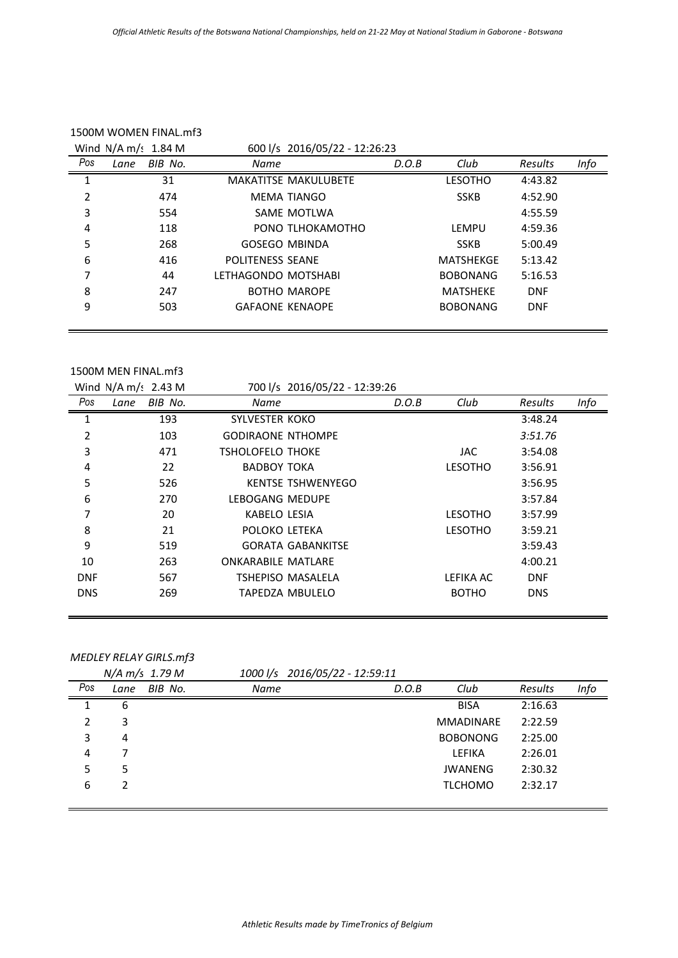|     | Wind $N/A$ m/: 1.84 M |                     | 600 l/s 2016/05/22 - 12:26:23 |       |                  |            |      |  |
|-----|-----------------------|---------------------|-------------------------------|-------|------------------|------------|------|--|
| Pos | BIB No.<br>Lane       | Name                |                               | D.O.B | Club             | Results    | Info |  |
| 1   | 31                    |                     | <b>MAKATITSE MAKULUBETE</b>   |       | <b>LESOTHO</b>   | 4:43.82    |      |  |
| 2   | 474                   |                     | <b>MEMA TIANGO</b>            |       | <b>SSKB</b>      | 4:52.90    |      |  |
| 3   | 554                   |                     | SAME MOTLWA                   |       |                  | 4:55.59    |      |  |
| 4   | 118                   |                     | PONO TLHOKAMOTHO              |       | LEMPU            | 4:59.36    |      |  |
| 5   | 268                   |                     | <b>GOSEGO MBINDA</b>          |       | <b>SSKB</b>      | 5:00.49    |      |  |
| 6   | 416                   | POLITENESS SEANE    |                               |       | <b>MATSHEKGE</b> | 5:13.42    |      |  |
| 7   | 44                    | LFTHAGONDO MOTSHABI |                               |       | <b>BOBONANG</b>  | 5:16.53    |      |  |
| 8   | 247                   |                     | <b>BOTHO MAROPE</b>           |       | <b>MATSHEKE</b>  | <b>DNF</b> |      |  |
| 9   | 503                   |                     | <b>GAFAONE KENAOPE</b>        |       | <b>BOBONANG</b>  | <b>DNF</b> |      |  |
|     |                       |                     |                               |       |                  |            |      |  |

## 1500M WOMEN FINAL.mf3

#### 1500M MEN FINAL.mf3

|            | Wind $N/A$ m/: 2.43 M |                           | 700 l/s 2016/05/22 - 12:39:26 |       |                |            |      |
|------------|-----------------------|---------------------------|-------------------------------|-------|----------------|------------|------|
| Pos        | BIB No.<br>Lane       | Name                      |                               | D.O.B | Club           | Results    | Info |
| 1          | 193                   | <b>SYLVESTER KOKO</b>     |                               |       |                | 3:48.24    |      |
| 2          | 103                   | <b>GODIRAONE NTHOMPE</b>  |                               |       |                | 3:51.76    |      |
| 3          | 471                   | <b>TSHOLOFELO THOKE</b>   |                               |       | JAC.           | 3:54.08    |      |
| 4          | 22                    | <b>BADBOY TOKA</b>        |                               |       | <b>LESOTHO</b> | 3:56.91    |      |
| 5          | 526                   |                           | <b>KENTSE TSHWENYEGO</b>      |       |                | 3:56.95    |      |
| 6          | 270                   | LEBOGANG MEDUPE           |                               |       |                | 3:57.84    |      |
| 7          | 20                    | KABELO LESIA              |                               |       | <b>LESOTHO</b> | 3:57.99    |      |
| 8          | 21                    | POLOKO LETEKA             |                               |       | <b>LESOTHO</b> | 3:59.21    |      |
| 9          | 519                   |                           | <b>GORATA GABANKITSE</b>      |       |                | 3:59.43    |      |
| 10         | 263                   | <b>ONKARABILE MATLARE</b> |                               |       |                | 4:00.21    |      |
| <b>DNF</b> | 567                   |                           | TSHEPISO MASALELA             |       | LEFIKA AC      | <b>DNF</b> |      |
| <b>DNS</b> | 269                   |                           | TAPEDZA MBULELO               |       | <b>BOTHO</b>   | <b>DNS</b> |      |
|            |                       |                           |                               |       |                |            |      |

# *MEDLEY RELAY GIRLS.mf3*

|     |      | $N/A \, m/s$ 1.79 M |             | 1000 l/s 2016/05/22 - 12:59:11 |                  |         |      |
|-----|------|---------------------|-------------|--------------------------------|------------------|---------|------|
| Pos | Lane | BIB No.             | <b>Name</b> | D.O.B                          | Club             | Results | Info |
| 1   | 6    |                     |             |                                | <b>BISA</b>      | 2:16.63 |      |
| 2   | 3    |                     |             |                                | <b>MMADINARE</b> | 2:22.59 |      |
| 3   | 4    |                     |             |                                | <b>BOBONONG</b>  | 2:25.00 |      |
| 4   |      |                     |             |                                | <b>LEFIKA</b>    | 2:26.01 |      |
| 5   | 5    |                     |             |                                | <b>JWANENG</b>   | 2:30.32 |      |
| 6   | 2    |                     |             |                                | <b>TLCHOMO</b>   | 2:32.17 |      |
|     |      |                     |             |                                |                  |         |      |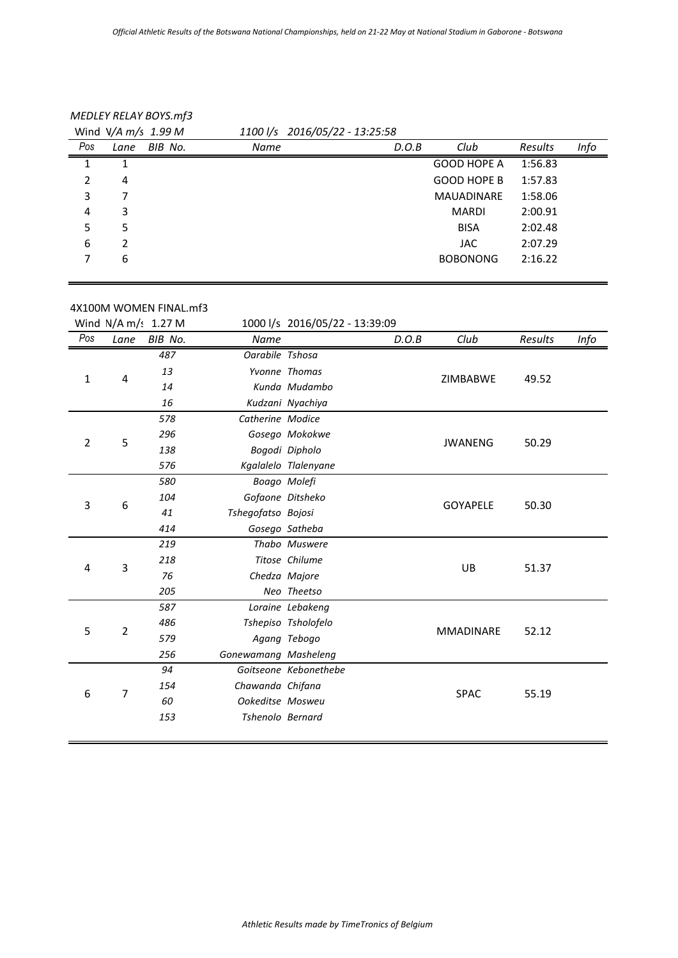| <b>MEDLEY RELAY BOYS.mf3</b> |  |  |  |
|------------------------------|--|--|--|
|------------------------------|--|--|--|

|     | Wind $V/A \, m/s$ 1.99 M |         |      | $1100$ $\frac{1}{s}$ 2016/05/22 - 13:25:58 |                    |         |      |
|-----|--------------------------|---------|------|--------------------------------------------|--------------------|---------|------|
| Pos | Lane                     | BIB No. | Name | D.O.B                                      | Club               | Results | Info |
|     |                          |         |      |                                            | <b>GOOD HOPE A</b> | 1:56.83 |      |
| 2   | 4                        |         |      |                                            | <b>GOOD HOPE B</b> | 1:57.83 |      |
| 3   |                          |         |      |                                            | <b>MAUADINARE</b>  | 1:58.06 |      |
| 4   | 3                        |         |      |                                            | MARDI              | 2:00.91 |      |
| 5.  | 5                        |         |      |                                            | <b>BISA</b>        | 2:02.48 |      |
| 6   | 2                        |         |      |                                            | <b>JAC</b>         | 2:07.29 |      |
| 7   | 6                        |         |      |                                            | <b>BOBONONG</b>    | 2:16.22 |      |
|     |                          |         |      |                                            |                    |         |      |

| 4X100M WOMEN FINAL.mf3 |  |
|------------------------|--|
|                        |  |

|                |      | Wind $N/A$ m/s 1.27 M |                         | 1000 l/s 2016/05/22 - 13:39:09 |       |                  |         |      |
|----------------|------|-----------------------|-------------------------|--------------------------------|-------|------------------|---------|------|
| Pos            | Lane | BIB No.               | Name                    |                                | D.O.B | Club             | Results | Info |
|                |      | 487                   | Oarabile Tshosa         |                                |       |                  |         |      |
|                |      | 13                    |                         | Yvonne Thomas                  |       |                  |         |      |
| $\mathbf{1}$   | 4    | 14                    |                         | Kunda Mudambo                  |       | <b>ZIMBABWE</b>  | 49.52   |      |
|                |      | 16                    |                         | Kudzani Nyachiya               |       |                  |         |      |
|                |      | 578                   | Catherine Modice        |                                |       |                  |         |      |
| $\overline{2}$ | 5    | 296                   |                         | Gosego Mokokwe                 |       | <b>JWANENG</b>   | 50.29   |      |
|                |      | 138                   |                         | Bogodi Dipholo                 |       |                  |         |      |
|                |      | 576                   |                         | Kgalalelo Tlalenyane           |       |                  |         |      |
|                |      | 580                   |                         | Boago Molefi                   |       |                  |         |      |
| 3              | 6    | 104                   |                         | Gofaone Ditsheko               |       | <b>GOYAPELE</b>  | 50.30   |      |
|                |      | 41                    | Tshegofatso Bojosi      |                                |       |                  |         |      |
|                |      | 414                   |                         | Gosego Satheba                 |       |                  |         |      |
|                |      | 219                   |                         | Thabo Muswere                  |       |                  |         |      |
| 4              | 3    | 218                   |                         | Titose Chilume                 |       | UB               | 51.37   |      |
|                |      | 76                    |                         | Chedza Majore                  |       |                  |         |      |
|                |      | 205                   |                         | Neo Theetso                    |       |                  |         |      |
|                |      | 587                   |                         | Loraine Lebakeng               |       |                  |         |      |
| 5              | 2    | 486                   |                         | Tshepiso Tsholofelo            |       | <b>MMADINARE</b> | 52.12   |      |
|                |      | 579                   |                         | Agang Tebogo                   |       |                  |         |      |
|                |      | 256                   | Gonewamang Masheleng    |                                |       |                  |         |      |
|                |      | 94                    |                         | Goitseone Kebonethebe          |       |                  |         |      |
| 6              | 7    | 154                   | Chawanda Chifana        |                                |       | <b>SPAC</b>      | 55.19   |      |
|                |      | 60                    | Ookeditse Mosweu        |                                |       |                  |         |      |
|                |      | 153                   | <b>Tshenolo Bernard</b> |                                |       |                  |         |      |
|                |      |                       |                         |                                |       |                  |         |      |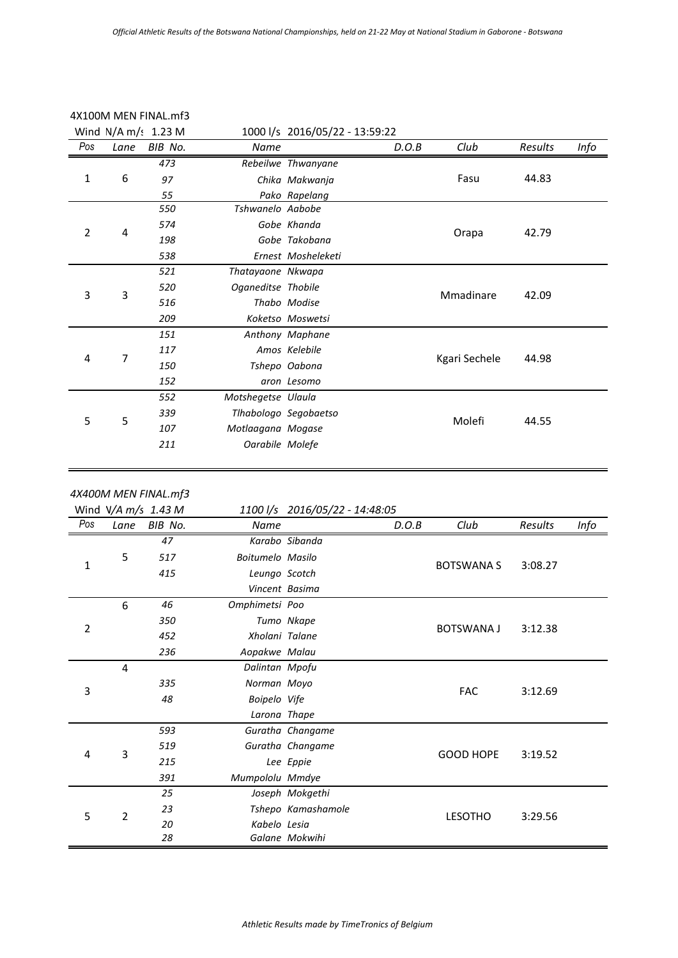|              |                | Wind $N/A$ m/s 1.23 M                         |                    | 1000 l/s 2016/05/22 - 13:59:22 |       |                   |         |      |
|--------------|----------------|-----------------------------------------------|--------------------|--------------------------------|-------|-------------------|---------|------|
| Pos          | Lane           | BIB No.                                       | Name               |                                | D.O.B | Club              | Results | Info |
|              |                | $\overline{473}$                              |                    | Rebeilwe Thwanyane             |       |                   |         |      |
| 1            | 6              | 97                                            |                    | Chika Makwanja                 |       | Fasu              | 44.83   |      |
|              |                | 55                                            |                    | Pako Rapelang                  |       |                   |         |      |
|              |                | 550                                           | Tshwanelo Aabobe   |                                |       |                   |         |      |
|              |                | 574                                           |                    | Gobe Khanda                    |       | Orapa             |         |      |
| 2            | 4              | 198                                           |                    | Gobe Takobana                  |       |                   | 42.79   |      |
|              |                | 538                                           |                    | Ernest Mosheleketi             |       |                   |         |      |
|              |                | 521                                           | Thatayaone Nkwapa  |                                |       |                   |         |      |
| 3            | 3              | 520                                           | Oganeditse Thobile |                                |       | Mmadinare         | 42.09   |      |
|              |                | 516                                           |                    | Thabo Modise                   |       |                   |         |      |
|              |                | 209                                           |                    | Koketso Moswetsi               |       |                   |         |      |
|              |                | 151                                           |                    | Anthony Maphane                |       |                   |         |      |
|              |                | 117                                           |                    | Amos Kelebile                  |       |                   |         |      |
| 4            | 7              | 150                                           |                    | Tshepo Oabona                  |       | Kgari Sechele     | 44.98   |      |
|              |                | 152                                           |                    | aron Lesomo                    |       |                   |         |      |
|              |                | 552                                           | Motshegetse Ulaula |                                |       |                   |         |      |
|              |                | 339                                           |                    | Tlhabologo Segobaetso          |       |                   |         |      |
| 5            | 5              | 107                                           | Motlaagana Mogase  |                                |       | Molefi            | 44.55   |      |
|              |                | 211                                           | Oarabile Molefe    |                                |       |                   |         |      |
|              |                |                                               |                    |                                |       |                   |         |      |
|              |                | 4X400M MEN FINAL.mf3<br>Wind $V/A$ m/s 1.43 M |                    | 1100 l/s 2016/05/22 - 14:48:05 |       |                   |         |      |
| Pos          | Lane           |                                               |                    |                                |       |                   |         |      |
|              |                |                                               |                    |                                |       |                   |         |      |
|              |                | BIB No.                                       | Name               |                                | D.O.B | Club              | Results | Info |
|              |                | 47                                            |                    | Karabo Sibanda                 |       |                   |         |      |
| $\mathbf{1}$ | 5              | 517                                           | Boitumelo Masilo   |                                |       | <b>BOTSWANA S</b> | 3:08.27 |      |
|              |                | 415                                           | Leungo Scotch      |                                |       |                   |         |      |
|              |                |                                               | Vincent Basima     |                                |       |                   |         |      |
|              | 6              | 46                                            | Omphimetsi Poo     |                                |       |                   |         |      |
| 2            |                | 350                                           |                    | Tumo Nkape                     |       | BOTSWANA J        | 3:12.38 |      |
|              |                | 452                                           | Xholani Talane     |                                |       |                   |         |      |
|              |                | 236                                           | Aopakwe Malau      |                                |       |                   |         |      |
|              | $\overline{4}$ |                                               | Dalintan Mpofu     |                                |       |                   |         |      |
| 3            |                | 335                                           | Norman Moyo        |                                |       | <b>FAC</b>        | 3:12.69 |      |
|              |                | 48                                            | Boipelo Vife       |                                |       |                   |         |      |
|              |                |                                               | Larona Thape       |                                |       |                   |         |      |
|              |                | 593                                           |                    | Guratha Changame               |       |                   |         |      |
| 4            | 3              | 519                                           |                    | Guratha Changame               |       | <b>GOOD HOPE</b>  | 3:19.52 |      |
|              |                | 215                                           |                    | Lee Eppie                      |       |                   |         |      |
|              |                | 391                                           | Mumpololu Mmdye    |                                |       |                   |         |      |
|              |                | 25                                            |                    | Joseph Mokgethi                |       |                   |         |      |
| 5            | $\overline{2}$ | 23<br>20                                      | Kabelo Lesia       | Tshepo Kamashamole             |       | <b>LESOTHO</b>    | 3:29.56 |      |

# 4X100M MEN FINAL.mf3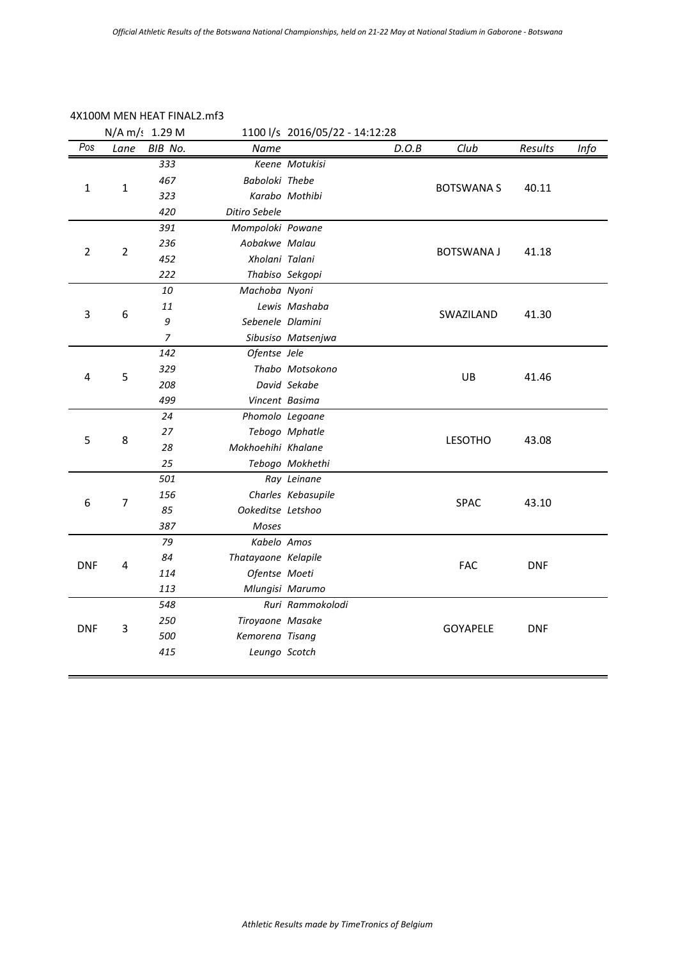## 4X100M MEN HEAT FINAL2.mf3

|              |                | N/A m/: 1.29 M |                     | 1100 l/s 2016/05/22 - 14:12:28 |       |                   |            |      |
|--------------|----------------|----------------|---------------------|--------------------------------|-------|-------------------|------------|------|
| Pos          | Lane           | BIB No.        | Name                |                                | D.O.B | Club              | Results    | Info |
|              |                | 333            |                     | Keene Motukisi                 |       |                   |            |      |
| $\mathbf{1}$ | $\mathbf{1}$   | 467            | Baboloki Thebe      |                                |       | <b>BOTSWANA S</b> | 40.11      |      |
|              |                | 323            |                     | Karabo Mothibi                 |       |                   |            |      |
|              |                | 420            | Ditiro Sebele       |                                |       |                   |            |      |
|              |                | 391            | Mompoloki Powane    |                                |       |                   |            |      |
| 2            | $\overline{2}$ | 236            | Aobakwe Malau       |                                |       | <b>BOTSWANA J</b> | 41.18      |      |
|              |                | 452            | Xholani Talani      |                                |       |                   |            |      |
|              |                | 222            |                     | Thabiso Sekgopi                |       |                   |            |      |
|              |                | 10             | Machoba Nyoni       |                                |       |                   |            |      |
| 3            | 6              | 11             |                     | Lewis Mashaba                  |       | SWAZILAND         | 41.30      |      |
|              |                | 9              | Sebenele Dlamini    |                                |       |                   |            |      |
|              |                | $\overline{7}$ |                     | Sibusiso Matsenjwa             |       |                   |            |      |
|              |                | 142            | Ofentse Jele        |                                |       |                   |            |      |
| 4            | 5              | 329            |                     | Thabo Motsokono                |       | UB                | 41.46      |      |
|              |                | 208            |                     | David Sekabe                   |       |                   |            |      |
|              |                | 499            | Vincent Basima      |                                |       |                   |            |      |
|              |                | 24             | Phomolo Legoane     |                                |       | <b>LESOTHO</b>    |            |      |
| 5            | 8              | 27             |                     | Tebogo Mphatle                 |       |                   | 43.08      |      |
|              |                | 28             | Mokhoehihi Khalane  |                                |       |                   |            |      |
|              |                | 25             |                     | Tebogo Mokhethi                |       |                   |            |      |
|              |                | 501            |                     | Ray Leinane                    |       |                   |            |      |
| 6            | $\overline{7}$ | 156            |                     | Charles Kebasupile             |       | SPAC              | 43.10      |      |
|              |                | 85             | Ookeditse Letshoo   |                                |       |                   |            |      |
|              |                | 387            | Moses               |                                |       |                   |            |      |
|              |                | 79             | Kabelo Amos         |                                |       |                   |            |      |
| <b>DNF</b>   | 4              | 84             | Thatayaone Kelapile |                                |       | <b>FAC</b>        | <b>DNF</b> |      |
|              |                | 114            | Ofentse Moeti       |                                |       |                   |            |      |
|              |                | 113            |                     | Mlungisi Marumo                |       |                   |            |      |
|              |                | 548            |                     | Ruri Rammokolodi               |       |                   |            |      |
| <b>DNF</b>   | 3              | 250            | Tiroyaone Masake    |                                |       | <b>GOYAPELE</b>   | <b>DNF</b> |      |
|              |                | 500            | Kemorena Tisang     |                                |       |                   |            |      |
|              |                | 415            | Leungo Scotch       |                                |       |                   |            |      |
|              |                |                |                     |                                |       |                   |            |      |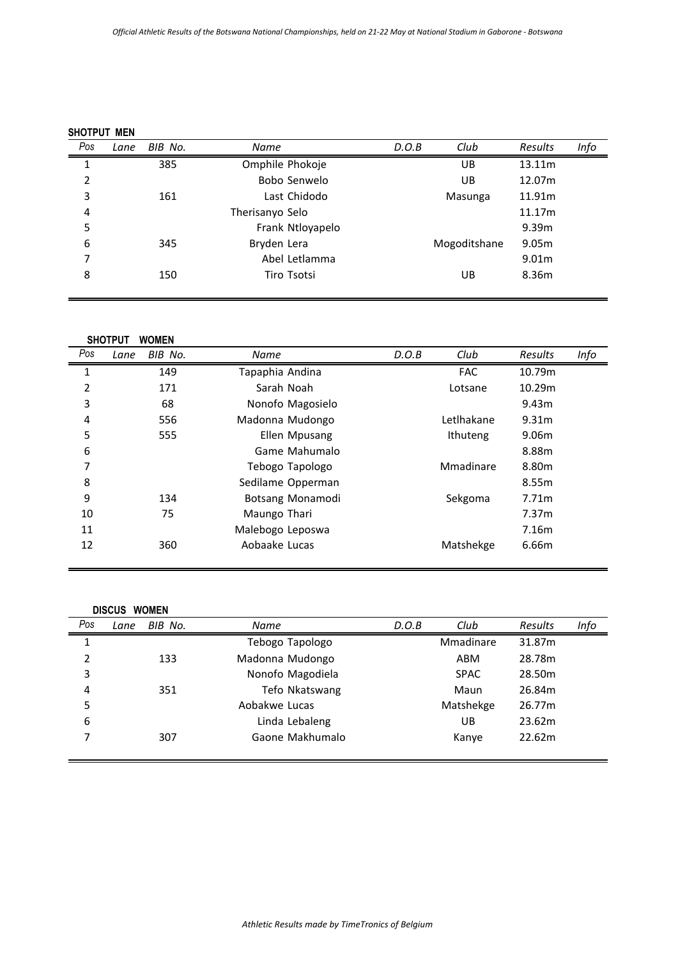|     | SHOTPUT MEN |         |                  |       |              |                   |      |  |  |
|-----|-------------|---------|------------------|-------|--------------|-------------------|------|--|--|
| Pos | Lane        | BIB No. | Name             | D.O.B | Club         | Results           | Info |  |  |
| 1   |             | 385     | Omphile Phokoje  |       | UB           | 13.11m            |      |  |  |
| 2   |             |         | Bobo Senwelo     |       | UB           | 12.07m            |      |  |  |
| 3   |             | 161     | Last Chidodo     |       | Masunga      | 11.91m            |      |  |  |
| 4   |             |         | Therisanyo Selo  |       |              | 11.17m            |      |  |  |
| 5   |             |         | Frank Ntloyapelo |       |              | 9.39m             |      |  |  |
| 6   |             | 345     | Bryden Lera      |       | Mogoditshane | 9.05m             |      |  |  |
| 7   |             |         | Abel Letlamma    |       |              | 9.01 <sub>m</sub> |      |  |  |
| 8   |             | 150     | Tiro Tsotsi      |       | UB           | 8.36m             |      |  |  |

|     | <b>SHOTPUT</b> | <b>WOMEN</b> |                   |       |            |                   |      |
|-----|----------------|--------------|-------------------|-------|------------|-------------------|------|
| Pos | Lane           | BIB No.      | <b>Name</b>       | D.O.B | Club       | Results           | Info |
| 1   |                | 149          | Tapaphia Andina   |       | <b>FAC</b> | 10.79m            |      |
| 2   |                | 171          | Sarah Noah        |       | Lotsane    | 10.29m            |      |
| 3   |                | 68           | Nonofo Magosielo  |       |            | 9.43m             |      |
| 4   |                | 556          | Madonna Mudongo   |       | Letlhakane | 9.31m             |      |
| 5   |                | 555          | Ellen Mpusang     |       | Ithuteng   | 9.06m             |      |
| 6   |                |              | Game Mahumalo     |       |            | 8.88m             |      |
| 7   |                |              | Tebogo Tapologo   |       | Mmadinare  | 8.80m             |      |
| 8   |                |              | Sedilame Opperman |       |            | 8.55m             |      |
| 9   |                | 134          | Botsang Monamodi  |       | Sekgoma    | 7.71m             |      |
| 10  |                | 75           | Maungo Thari      |       |            | 7.37 <sub>m</sub> |      |
| 11  |                |              | Malebogo Leposwa  |       |            | 7.16m             |      |
| 12  |                | 360          | Aobaake Lucas     |       | Matshekge  | 6.66m             |      |

|     | <b>DISCUS</b> | <b>WOMEN</b> |                  |       |             |                |      |
|-----|---------------|--------------|------------------|-------|-------------|----------------|------|
| Pos | Lane          | BIB No.      | Name             | D.O.B | Club        | <b>Results</b> | Info |
| 1   |               |              | Tebogo Tapologo  |       | Mmadinare   | 31.87m         |      |
| 2   |               | 133          | Madonna Mudongo  |       | ABM         | 28.78m         |      |
| 3   |               |              | Nonofo Magodiela |       | <b>SPAC</b> | 28.50m         |      |
| 4   |               | 351          | Tefo Nkatswang   |       | Maun        | 26.84m         |      |
| 5   |               |              | Aobakwe Lucas    |       | Matshekge   | 26.77m         |      |
| 6   |               |              | Linda Lebaleng   |       | UB          | 23.62m         |      |
| ⇁   |               | 307          | Gaone Makhumalo  |       | Kanye       | 22.62m         |      |
|     |               |              |                  |       |             |                |      |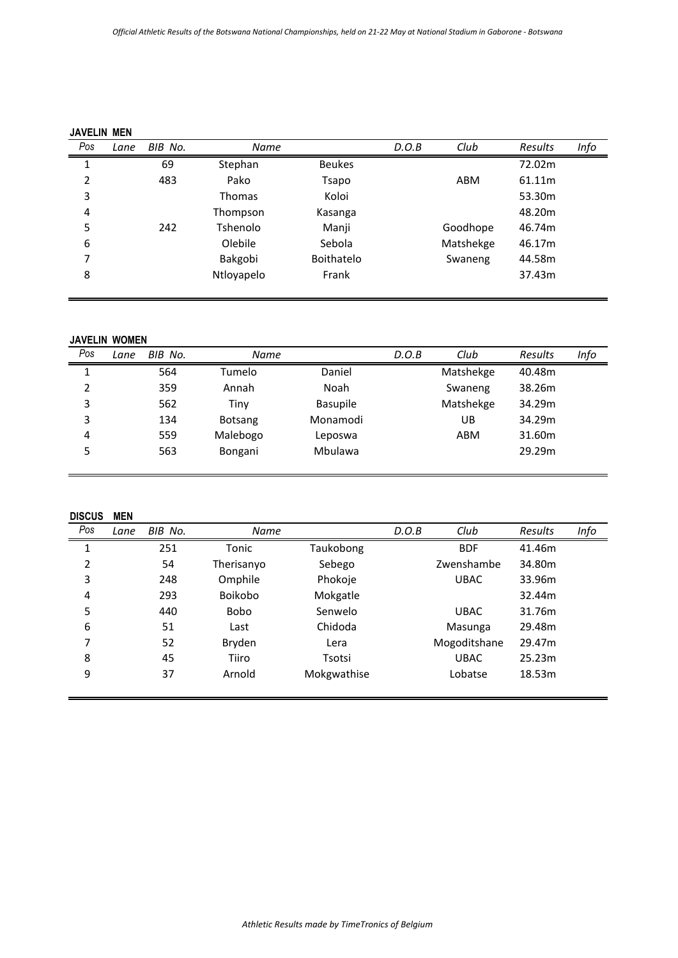| <b>JAVELIN MEN</b> |      |         |               |                   |       |           |                |      |
|--------------------|------|---------|---------------|-------------------|-------|-----------|----------------|------|
| Pos                | Lane | BIB No. | Name          |                   | D.O.B | Club      | <b>Results</b> | Info |
| 1                  |      | 69      | Stephan       | <b>Beukes</b>     |       |           | 72.02m         |      |
| 2                  |      | 483     | Pako          | Tsapo             |       | ABM       | 61.11m         |      |
| 3                  |      |         | <b>Thomas</b> | Koloi             |       |           | 53.30m         |      |
| 4                  |      |         | Thompson      | Kasanga           |       |           | 48.20m         |      |
| 5                  |      | 242     | Tshenolo      | Manji             |       | Goodhope  | 46.74m         |      |
| 6                  |      |         | Olebile       | Sebola            |       | Matshekge | 46.17m         |      |
| 7                  |      |         | Bakgobi       | <b>Boithatelo</b> |       | Swaneng   | 44.58m         |      |
| 8                  |      |         | Ntloyapelo    | Frank             |       |           | 37.43m         |      |

### **JAVELIN WOMEN**

| 564<br>Matshekge<br>Daniel<br>40.48m<br>Tumelo             |                |     |       |      | D.O.B | Club    | <b>Results</b> | Info |
|------------------------------------------------------------|----------------|-----|-------|------|-------|---------|----------------|------|
|                                                            |                |     |       |      |       |         |                |      |
|                                                            | $\overline{2}$ | 359 | Annah | Noah |       | Swaneng | 38.26m         |      |
| 3<br>Matshekge<br>34.29m<br>562<br><b>Basupile</b><br>Tiny |                |     |       |      |       |         |                |      |
| 3<br>34.29m<br>Monamodi<br>134<br>UB<br><b>Botsang</b>     |                |     |       |      |       |         |                |      |
| Malebogo<br>559<br>31.60m<br>ABM<br>4<br>Leposwa           |                |     |       |      |       |         |                |      |
| 29.29m<br>5<br>563<br>Mbulawa<br>Bongani                   |                |     |       |      |       |         |                |      |

### **DISCUS MEN**

| Pos | Lane | BIB No. | Name           |             | D.O.B | Club         | Results | Info |
|-----|------|---------|----------------|-------------|-------|--------------|---------|------|
| 1   |      | 251     | Tonic          | Taukobong   |       | <b>BDF</b>   | 41.46m  |      |
| 2   |      | 54      | Therisanyo     | Sebego      |       | Zwenshambe   | 34.80m  |      |
| 3   |      | 248     | Omphile        | Phokoje     |       | <b>UBAC</b>  | 33.96m  |      |
| 4   |      | 293     | <b>Boikobo</b> | Mokgatle    |       |              | 32.44m  |      |
| 5   |      | 440     | <b>Bobo</b>    | Senwelo     |       | <b>UBAC</b>  | 31.76m  |      |
| 6   |      | 51      | Last           | Chidoda     |       | Masunga      | 29.48m  |      |
| 7   |      | 52      | Bryden         | Lera        |       | Mogoditshane | 29.47m  |      |
| 8   |      | 45      | Tiiro          | Tsotsi      |       | <b>UBAC</b>  | 25.23m  |      |
| 9   |      | 37      | Arnold         | Mokgwathise |       | Lobatse      | 18.53m  |      |
|     |      |         |                |             |       |              |         |      |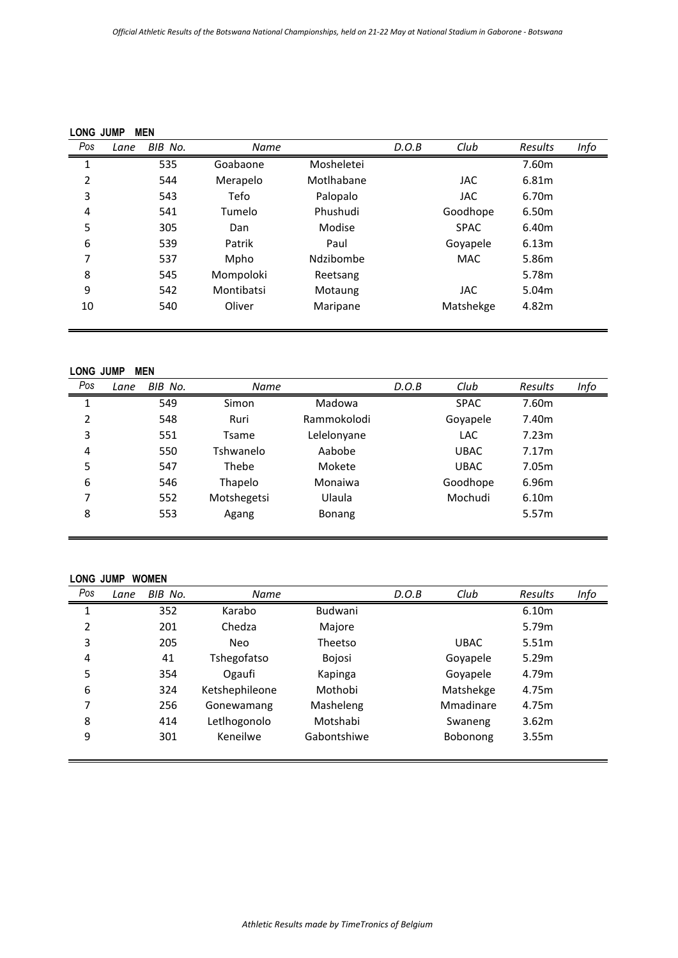| BIB No.<br>Lane<br>535 | Name       |            |       |             |         |      |
|------------------------|------------|------------|-------|-------------|---------|------|
|                        |            |            | D.O.B | Club        | Results | Info |
|                        | Goabaone   | Mosheletei |       |             | 7.60m   |      |
| 544                    | Merapelo   | Motlhabane |       | <b>JAC</b>  | 6.81m   |      |
| 543                    | Tefo       | Palopalo   |       | <b>JAC</b>  | 6.70m   |      |
| 541                    | Tumelo     | Phushudi   |       | Goodhope    | 6.50m   |      |
| 305                    | Dan        | Modise     |       | <b>SPAC</b> | 6.40m   |      |
| 539                    | Patrik     | Paul       |       | Goyapele    | 6.13m   |      |
| 537                    | Mpho       | Ndzibombe  |       | <b>MAC</b>  | 5.86m   |      |
| 545                    | Mompoloki  | Reetsang   |       |             | 5.78m   |      |
| 542                    | Montibatsi | Motaung    |       | <b>JAC</b>  | 5.04m   |      |
| 540                    | Oliver     | Maripane   |       | Matshekge   | 4.82m   |      |
|                        |            |            |       |             |         |      |

### **LONG JUMP MEN**

| Pos | Lane | BIB No. | Name        |               | D.O.B | Club        | Results | Info |
|-----|------|---------|-------------|---------------|-------|-------------|---------|------|
| 1   |      | 549     | Simon       | Madowa        |       | <b>SPAC</b> | 7.60m   |      |
| 2   |      | 548     | Ruri        | Rammokolodi   |       | Goyapele    | 7.40m   |      |
| 3   |      | 551     | Tsame       | Lelelonyane   |       | <b>LAC</b>  | 7.23m   |      |
| 4   |      | 550     | Tshwanelo   | Aabobe        |       | <b>UBAC</b> | 7.17m   |      |
| 5   |      | 547     | Thebe       | Mokete        |       | <b>UBAC</b> | 7.05m   |      |
| 6   |      | 546     | Thapelo     | Monaiwa       |       | Goodhope    | 6.96m   |      |
| 7   |      | 552     | Motshegetsi | Ulaula        |       | Mochudi     | 6.10m   |      |
| 8   |      | 553     | Agang       | <b>Bonang</b> |       |             | 5.57m   |      |
|     |      |         |             |               |       |             |         |      |

### **LONG JUMP WOMEN**

| Pos | Lane | BIB No. | Name           |             | D.O.B | Club        | Results | Info |
|-----|------|---------|----------------|-------------|-------|-------------|---------|------|
| 1   |      | 352     | Karabo         | Budwani     |       |             | 6.10m   |      |
| 2   |      | 201     | Chedza         | Majore      |       |             | 5.79m   |      |
| 3   |      | 205     | Neo            | Theetso     |       | <b>UBAC</b> | 5.51m   |      |
| 4   |      | 41      | Tshegofatso    | Bojosi      |       | Goyapele    | 5.29m   |      |
| 5   |      | 354     | Ogaufi         | Kapinga     |       | Goyapele    | 4.79m   |      |
| 6   |      | 324     | Ketshephileone | Mothobi     |       | Matshekge   | 4.75m   |      |
| 7   |      | 256     | Gonewamang     | Masheleng   |       | Mmadinare   | 4.75m   |      |
| 8   |      | 414     | Letlhogonolo   | Motshabi    |       | Swaneng     | 3.62m   |      |
| 9   |      | 301     | Keneilwe       | Gabontshiwe |       | Bobonong    | 3.55m   |      |
|     |      |         |                |             |       |             |         |      |